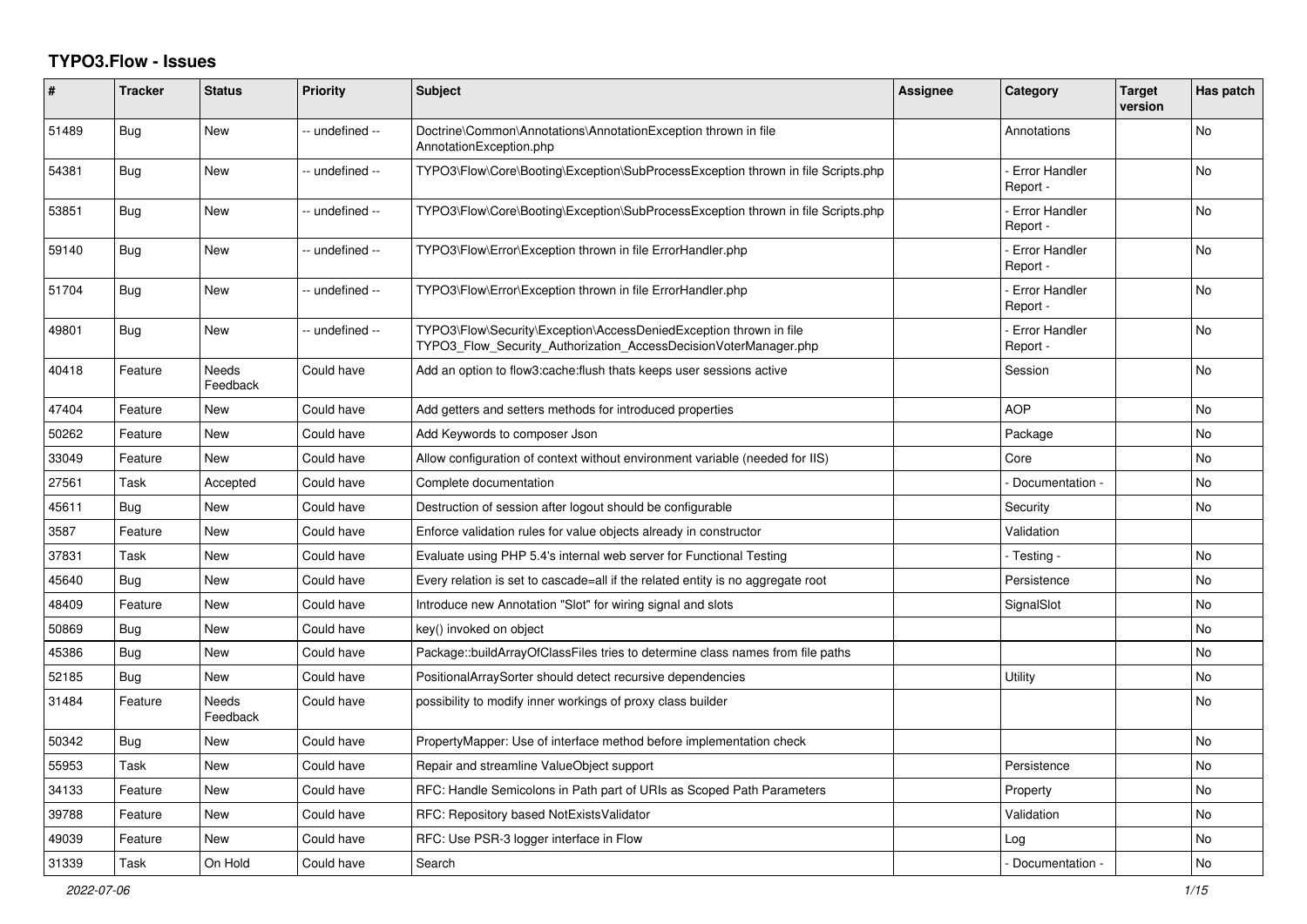## **TYPO3.Flow - Issues**

| #     | <b>Tracker</b> | <b>Status</b>            | <b>Priority</b> | <b>Subject</b>                                                                                                                         | Assignee | Category                         | <b>Target</b><br>version | Has patch |
|-------|----------------|--------------------------|-----------------|----------------------------------------------------------------------------------------------------------------------------------------|----------|----------------------------------|--------------------------|-----------|
| 51489 | <b>Bug</b>     | <b>New</b>               | -- undefined -- | Doctrine\Common\Annotations\AnnotationException thrown in file<br>AnnotationException.php                                              |          | Annotations                      |                          | No        |
| 54381 | <b>Bug</b>     | <b>New</b>               | -- undefined -- | TYPO3\Flow\Core\Booting\Exception\SubProcessException thrown in file Scripts.php                                                       |          | <b>Error Handler</b><br>Report - |                          | <b>No</b> |
| 53851 | Bug            | New                      | -- undefined -- | TYPO3\Flow\Core\Booting\Exception\SubProcessException thrown in file Scripts.php                                                       |          | <b>Error Handler</b><br>Report - |                          | No        |
| 59140 | Bug            | <b>New</b>               | -- undefined -- | TYPO3\Flow\Error\Exception thrown in file ErrorHandler.php                                                                             |          | <b>Error Handler</b><br>Report - |                          | No        |
| 51704 | Bug            | <b>New</b>               | -- undefined -- | TYPO3\Flow\Error\Exception thrown in file ErrorHandler.php                                                                             |          | <b>Error Handler</b><br>Report - |                          | <b>No</b> |
| 49801 | <b>Bug</b>     | New                      | -- undefined -- | TYPO3\Flow\Security\Exception\AccessDeniedException thrown in file<br>TYPO3_Flow_Security_Authorization_AccessDecisionVoterManager.php |          | <b>Error Handler</b><br>Report - |                          | <b>No</b> |
| 40418 | Feature        | Needs<br>Feedback        | Could have      | Add an option to flow3:cache:flush thats keeps user sessions active                                                                    |          | Session                          |                          | No        |
| 47404 | Feature        | <b>New</b>               | Could have      | Add getters and setters methods for introduced properties                                                                              |          | <b>AOP</b>                       |                          | <b>No</b> |
| 50262 | Feature        | New                      | Could have      | Add Keywords to composer Json                                                                                                          |          | Package                          |                          | No        |
| 33049 | Feature        | New                      | Could have      | Allow configuration of context without environment variable (needed for IIS)                                                           |          | Core                             |                          | No        |
| 27561 | Task           | Accepted                 | Could have      | Complete documentation                                                                                                                 |          | Documentation -                  |                          | No        |
| 45611 | Bug            | <b>New</b>               | Could have      | Destruction of session after logout should be configurable                                                                             |          | Security                         |                          | No        |
| 3587  | Feature        | New                      | Could have      | Enforce validation rules for value objects already in constructor                                                                      |          | Validation                       |                          |           |
| 37831 | Task           | <b>New</b>               | Could have      | Evaluate using PHP 5.4's internal web server for Functional Testing                                                                    |          | - Testing -                      |                          | No        |
| 45640 | Bug            | New                      | Could have      | Every relation is set to cascade=all if the related entity is no aggregate root                                                        |          | Persistence                      |                          | No        |
| 48409 | Feature        | <b>New</b>               | Could have      | Introduce new Annotation "Slot" for wiring signal and slots                                                                            |          | SignalSlot                       |                          | <b>No</b> |
| 50869 | Bug            | <b>New</b>               | Could have      | key() invoked on object                                                                                                                |          |                                  |                          | <b>No</b> |
| 45386 | Bug            | New                      | Could have      | Package::buildArrayOfClassFiles tries to determine class names from file paths                                                         |          |                                  |                          | <b>No</b> |
| 52185 | Bug            | New                      | Could have      | PositionalArraySorter should detect recursive dependencies                                                                             |          | Utility                          |                          | No        |
| 31484 | Feature        | <b>Needs</b><br>Feedback | Could have      | possibility to modify inner workings of proxy class builder                                                                            |          |                                  |                          | No.       |
| 50342 | <b>Bug</b>     | <b>New</b>               | Could have      | PropertyMapper: Use of interface method before implementation check                                                                    |          |                                  |                          | No        |
| 55953 | Task           | <b>New</b>               | Could have      | Repair and streamline ValueObject support                                                                                              |          | Persistence                      |                          | <b>No</b> |
| 34133 | Feature        | <b>New</b>               | Could have      | RFC: Handle Semicolons in Path part of URIs as Scoped Path Parameters                                                                  |          | Property                         |                          | No        |
| 39788 | Feature        | New                      | Could have      | RFC: Repository based NotExistsValidator                                                                                               |          | Validation                       |                          | No        |
| 49039 | Feature        | New                      | Could have      | RFC: Use PSR-3 logger interface in Flow                                                                                                |          | Log                              |                          | No        |
| 31339 | Task           | On Hold                  | Could have      | Search                                                                                                                                 |          | - Documentation -                |                          | No        |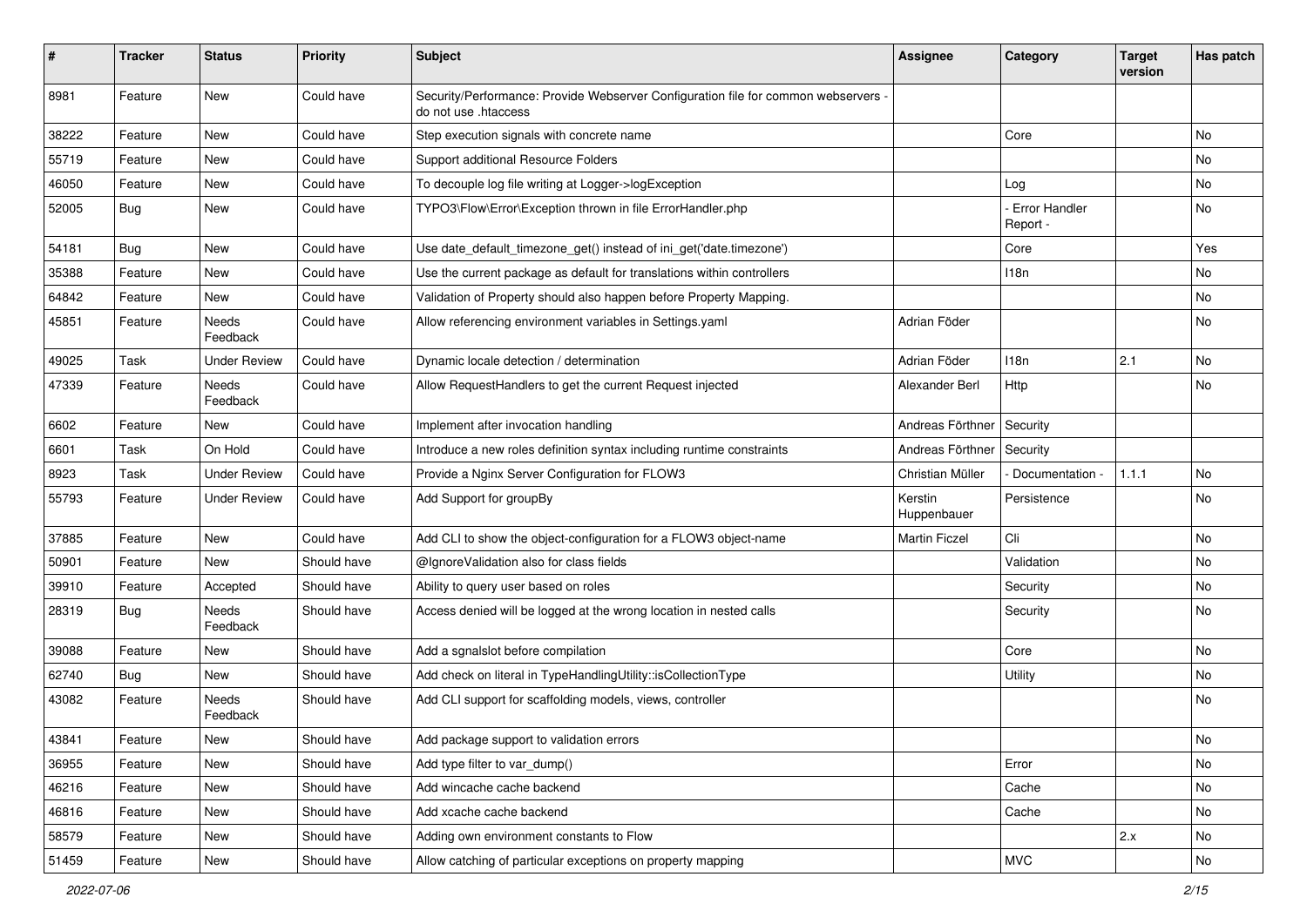| #     | <b>Tracker</b> | <b>Status</b>       | <b>Priority</b> | Subject                                                                                                    | <b>Assignee</b>        | Category                  | <b>Target</b><br>version | Has patch |
|-------|----------------|---------------------|-----------------|------------------------------------------------------------------------------------------------------------|------------------------|---------------------------|--------------------------|-----------|
| 8981  | Feature        | New                 | Could have      | Security/Performance: Provide Webserver Configuration file for common webservers -<br>do not use .htaccess |                        |                           |                          |           |
| 38222 | Feature        | New                 | Could have      | Step execution signals with concrete name                                                                  |                        | Core                      |                          | No        |
| 55719 | Feature        | <b>New</b>          | Could have      | Support additional Resource Folders                                                                        |                        |                           |                          | No        |
| 46050 | Feature        | New                 | Could have      | To decouple log file writing at Logger->logException                                                       |                        | Loa                       |                          | No        |
| 52005 | <b>Bug</b>     | New                 | Could have      | TYPO3\Flow\Error\Exception thrown in file ErrorHandler.php                                                 |                        | Error Handler<br>Report - |                          | No        |
| 54181 | <b>Bug</b>     | New                 | Could have      | Use date_default_timezone_get() instead of ini_get('date.timezone')                                        |                        | Core                      |                          | Yes       |
| 35388 | Feature        | New                 | Could have      | Use the current package as default for translations within controllers                                     |                        | 118n                      |                          | No        |
| 64842 | Feature        | New                 | Could have      | Validation of Property should also happen before Property Mapping.                                         |                        |                           |                          | No        |
| 45851 | Feature        | Needs<br>Feedback   | Could have      | Allow referencing environment variables in Settings.yaml                                                   | Adrian Föder           |                           |                          | No        |
| 49025 | Task           | <b>Under Review</b> | Could have      | Dynamic locale detection / determination                                                                   | Adrian Föder           | 118n                      | 2.1                      | No        |
| 47339 | Feature        | Needs<br>Feedback   | Could have      | Allow RequestHandlers to get the current Request injected                                                  | Alexander Berl         | Http                      |                          | No        |
| 6602  | Feature        | New                 | Could have      | Implement after invocation handling                                                                        | Andreas Förthner       | Security                  |                          |           |
| 6601  | Task           | On Hold             | Could have      | Introduce a new roles definition syntax including runtime constraints                                      | Andreas Förthner       | Security                  |                          |           |
| 8923  | Task           | <b>Under Review</b> | Could have      | Provide a Nginx Server Configuration for FLOW3                                                             | Christian Müller       | Documentation -           | 1.1.1                    | No        |
| 55793 | Feature        | <b>Under Review</b> | Could have      | Add Support for groupBy                                                                                    | Kerstin<br>Huppenbauer | Persistence               |                          | No        |
| 37885 | Feature        | New                 | Could have      | Add CLI to show the object-configuration for a FLOW3 object-name                                           | <b>Martin Ficzel</b>   | Cli                       |                          | No        |
| 50901 | Feature        | New                 | Should have     | @IgnoreValidation also for class fields                                                                    |                        | Validation                |                          | No        |
| 39910 | Feature        | Accepted            | Should have     | Ability to query user based on roles                                                                       |                        | Security                  |                          | No        |
| 28319 | Bug            | Needs<br>Feedback   | Should have     | Access denied will be logged at the wrong location in nested calls                                         |                        | Security                  |                          | No        |
| 39088 | Feature        | New                 | Should have     | Add a sqnalslot before compilation                                                                         |                        | Core                      |                          | No        |
| 62740 | <b>Bug</b>     | New                 | Should have     | Add check on literal in TypeHandlingUtility::isCollectionType                                              |                        | Utility                   |                          | No        |
| 43082 | Feature        | Needs<br>Feedback   | Should have     | Add CLI support for scaffolding models, views, controller                                                  |                        |                           |                          | No        |
| 43841 | Feature        | New                 | Should have     | Add package support to validation errors                                                                   |                        |                           |                          | No        |
| 36955 | Feature        | New                 | Should have     | Add type filter to var dump()                                                                              |                        | Error                     |                          | No        |
| 46216 | Feature        | New                 | Should have     | Add wincache cache backend                                                                                 |                        | Cache                     |                          | No        |
| 46816 | Feature        | New                 | Should have     | Add xcache cache backend                                                                                   |                        | Cache                     |                          | No        |
| 58579 | Feature        | New                 | Should have     | Adding own environment constants to Flow                                                                   |                        |                           | 2.x                      | No        |
| 51459 | Feature        | New                 | Should have     | Allow catching of particular exceptions on property mapping                                                |                        | <b>MVC</b>                |                          | No        |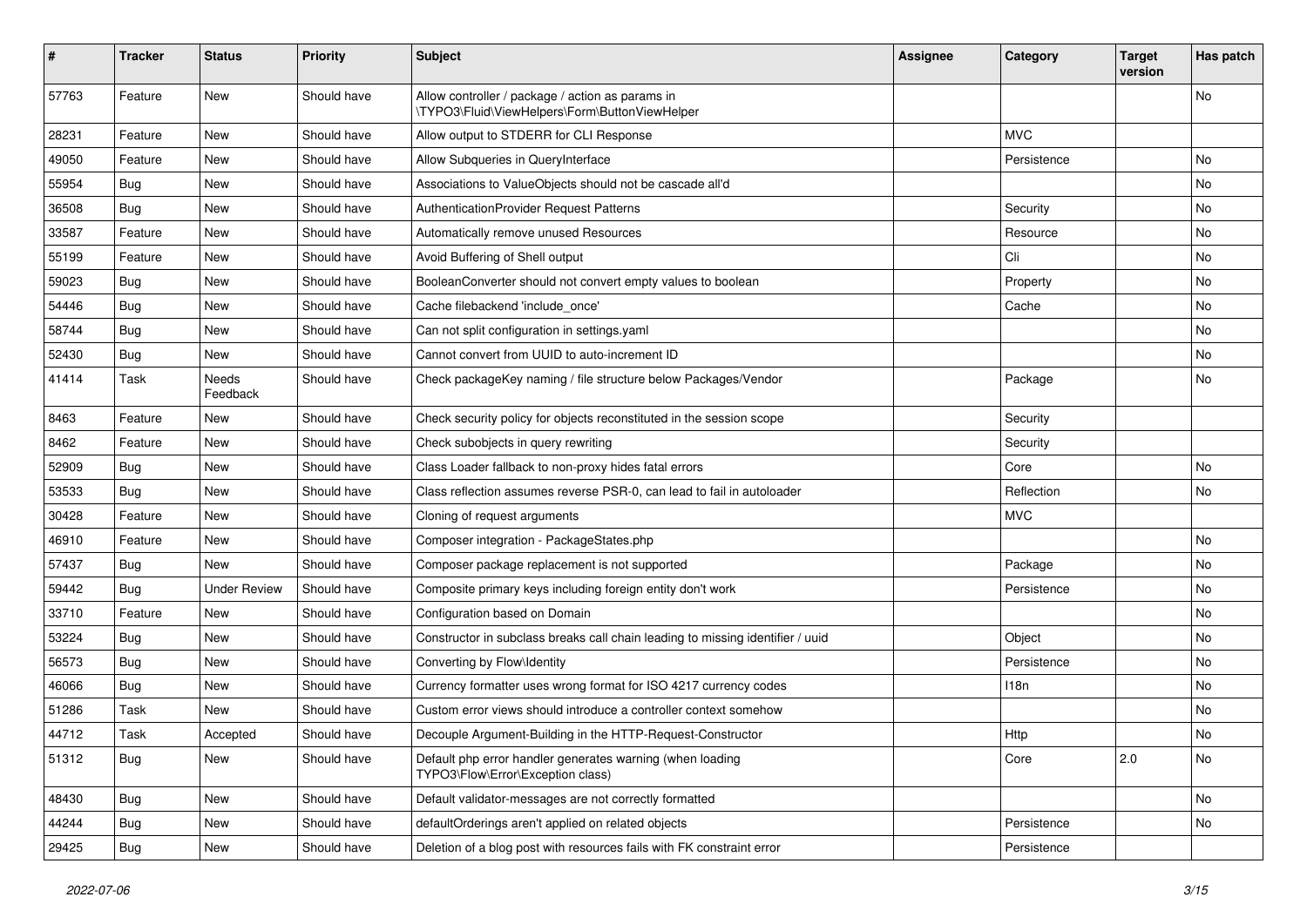| #     | Tracker    | <b>Status</b>       | <b>Priority</b> | <b>Subject</b>                                                                                     | <b>Assignee</b> | Category    | <b>Target</b><br>version | Has patch |
|-------|------------|---------------------|-----------------|----------------------------------------------------------------------------------------------------|-----------------|-------------|--------------------------|-----------|
| 57763 | Feature    | <b>New</b>          | Should have     | Allow controller / package / action as params in<br>\TYPO3\Fluid\ViewHelpers\Form\ButtonViewHelper |                 |             |                          | No        |
| 28231 | Feature    | New                 | Should have     | Allow output to STDERR for CLI Response                                                            |                 | <b>MVC</b>  |                          |           |
| 49050 | Feature    | <b>New</b>          | Should have     | Allow Subqueries in QueryInterface                                                                 |                 | Persistence |                          | No        |
| 55954 | <b>Bug</b> | New                 | Should have     | Associations to ValueObjects should not be cascade all'd                                           |                 |             |                          | No        |
| 36508 | <b>Bug</b> | New                 | Should have     | AuthenticationProvider Request Patterns                                                            |                 | Security    |                          | No        |
| 33587 | Feature    | New                 | Should have     | Automatically remove unused Resources                                                              |                 | Resource    |                          | No        |
| 55199 | Feature    | New                 | Should have     | Avoid Buffering of Shell output                                                                    |                 | Cli         |                          | No        |
| 59023 | Bug        | <b>New</b>          | Should have     | BooleanConverter should not convert empty values to boolean                                        |                 | Property    |                          | No        |
| 54446 | <b>Bug</b> | New                 | Should have     | Cache filebackend 'include once'                                                                   |                 | Cache       |                          | No        |
| 58744 | <b>Bug</b> | New                 | Should have     | Can not split configuration in settings.yaml                                                       |                 |             |                          | No        |
| 52430 | <b>Bug</b> | New                 | Should have     | Cannot convert from UUID to auto-increment ID                                                      |                 |             |                          | No        |
| 41414 | Task       | Needs<br>Feedback   | Should have     | Check packageKey naming / file structure below Packages/Vendor                                     |                 | Package     |                          | No        |
| 8463  | Feature    | New                 | Should have     | Check security policy for objects reconstituted in the session scope                               |                 | Security    |                          |           |
| 8462  | Feature    | New                 | Should have     | Check subobjects in query rewriting                                                                |                 | Security    |                          |           |
| 52909 | <b>Bug</b> | New                 | Should have     | Class Loader fallback to non-proxy hides fatal errors                                              |                 | Core        |                          | No        |
| 53533 | <b>Bug</b> | <b>New</b>          | Should have     | Class reflection assumes reverse PSR-0, can lead to fail in autoloader                             |                 | Reflection  |                          | No        |
| 30428 | Feature    | New                 | Should have     | Cloning of request arguments                                                                       |                 | <b>MVC</b>  |                          |           |
| 46910 | Feature    | New                 | Should have     | Composer integration - PackageStates.php                                                           |                 |             |                          | No        |
| 57437 | <b>Bug</b> | New                 | Should have     | Composer package replacement is not supported                                                      |                 | Package     |                          | No        |
| 59442 | <b>Bug</b> | <b>Under Review</b> | Should have     | Composite primary keys including foreign entity don't work                                         |                 | Persistence |                          | No        |
| 33710 | Feature    | New                 | Should have     | Configuration based on Domain                                                                      |                 |             |                          | No        |
| 53224 | <b>Bug</b> | New                 | Should have     | Constructor in subclass breaks call chain leading to missing identifier / uuid                     |                 | Object      |                          | No        |
| 56573 | <b>Bug</b> | New                 | Should have     | Converting by Flow\Identity                                                                        |                 | Persistence |                          | No        |
| 46066 | Bug        | New                 | Should have     | Currency formatter uses wrong format for ISO 4217 currency codes                                   |                 | 118n        |                          | No.       |
| 51286 | Task       | New                 | Should have     | Custom error views should introduce a controller context somehow                                   |                 |             |                          | No        |
| 44712 | Task       | Accepted            | Should have     | Decouple Argument-Building in the HTTP-Request-Constructor                                         |                 | Http        |                          | No        |
| 51312 | Bug        | New                 | Should have     | Default php error handler generates warning (when loading<br>TYPO3\Flow\Error\Exception class)     |                 | Core        | 2.0                      | No        |
| 48430 | Bug        | New                 | Should have     | Default validator-messages are not correctly formatted                                             |                 |             |                          | No        |
| 44244 | Bug        | New                 | Should have     | defaultOrderings aren't applied on related objects                                                 |                 | Persistence |                          | No        |
| 29425 | Bug        | New                 | Should have     | Deletion of a blog post with resources fails with FK constraint error                              |                 | Persistence |                          |           |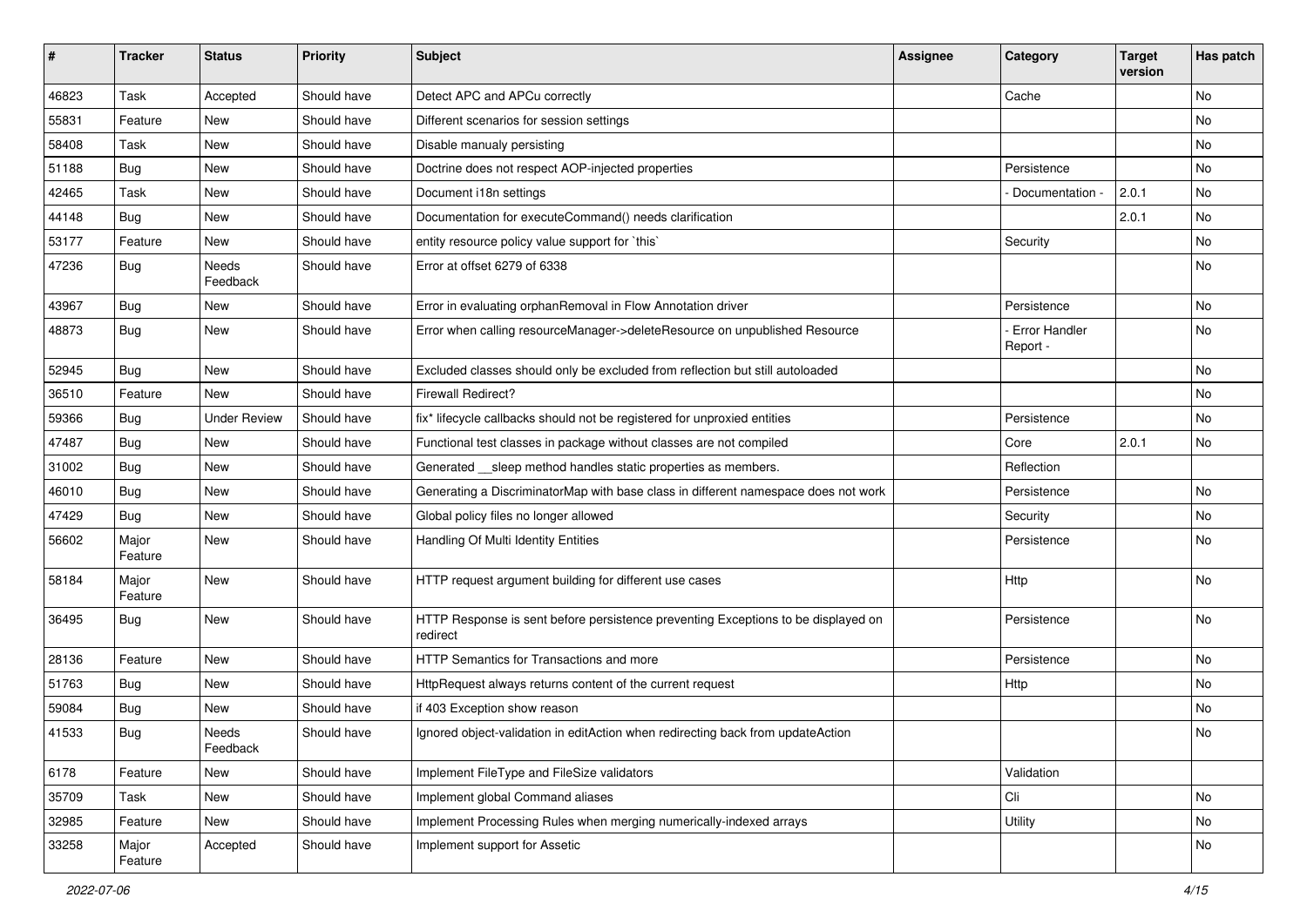| ∦     | <b>Tracker</b>   | <b>Status</b>            | <b>Priority</b> | Subject                                                                                       | <b>Assignee</b> | Category                  | <b>Target</b><br>version | Has patch |
|-------|------------------|--------------------------|-----------------|-----------------------------------------------------------------------------------------------|-----------------|---------------------------|--------------------------|-----------|
| 46823 | Task             | Accepted                 | Should have     | Detect APC and APCu correctly                                                                 |                 | Cache                     |                          | No        |
| 55831 | Feature          | <b>New</b>               | Should have     | Different scenarios for session settings                                                      |                 |                           |                          | No        |
| 58408 | Task             | New                      | Should have     | Disable manualy persisting                                                                    |                 |                           |                          | No        |
| 51188 | Bug              | New                      | Should have     | Doctrine does not respect AOP-injected properties                                             |                 | Persistence               |                          | <b>No</b> |
| 42465 | Task             | New                      | Should have     | Document i18n settings                                                                        |                 | Documentation -           | 2.0.1                    | No        |
| 44148 | Bug              | <b>New</b>               | Should have     | Documentation for executeCommand() needs clarification                                        |                 |                           | 2.0.1                    | <b>No</b> |
| 53177 | Feature          | New                      | Should have     | entity resource policy value support for `this`                                               |                 | Security                  |                          | No        |
| 47236 | <b>Bug</b>       | <b>Needs</b><br>Feedback | Should have     | Error at offset 6279 of 6338                                                                  |                 |                           |                          | No        |
| 43967 | Bug              | New                      | Should have     | Error in evaluating orphanRemoval in Flow Annotation driver                                   |                 | Persistence               |                          | No        |
| 48873 | <b>Bug</b>       | New                      | Should have     | Error when calling resourceManager->deleteResource on unpublished Resource                    |                 | Error Handler<br>Report - |                          | No        |
| 52945 | Bug              | New                      | Should have     | Excluded classes should only be excluded from reflection but still autoloaded                 |                 |                           |                          | No        |
| 36510 | Feature          | New                      | Should have     | Firewall Redirect?                                                                            |                 |                           |                          | No        |
| 59366 | <b>Bug</b>       | <b>Under Review</b>      | Should have     | fix* lifecycle callbacks should not be registered for unproxied entities                      |                 | Persistence               |                          | No        |
| 47487 | <b>Bug</b>       | New                      | Should have     | Functional test classes in package without classes are not compiled                           |                 | Core                      | 2.0.1                    | No        |
| 31002 | Bug              | New                      | Should have     | Generated __ sleep method handles static properties as members.                               |                 | Reflection                |                          |           |
| 46010 | Bug              | New                      | Should have     | Generating a DiscriminatorMap with base class in different namespace does not work            |                 | Persistence               |                          | No        |
| 47429 | Bug              | New                      | Should have     | Global policy files no longer allowed                                                         |                 | Security                  |                          | No        |
| 56602 | Major<br>Feature | New                      | Should have     | Handling Of Multi Identity Entities                                                           |                 | Persistence               |                          | No        |
| 58184 | Major<br>Feature | New                      | Should have     | HTTP request argument building for different use cases                                        |                 | Http                      |                          | No        |
| 36495 | Bug              | New                      | Should have     | HTTP Response is sent before persistence preventing Exceptions to be displayed on<br>redirect |                 | Persistence               |                          | No        |
| 28136 | Feature          | New                      | Should have     | <b>HTTP Semantics for Transactions and more</b>                                               |                 | Persistence               |                          | No        |
| 51763 | <b>Bug</b>       | New                      | Should have     | HttpRequest always returns content of the current request                                     |                 | Http                      |                          | No        |
| 59084 | Bug              | New                      | Should have     | if 403 Exception show reason                                                                  |                 |                           |                          | No        |
| 41533 | Bug              | Needs<br>Feedback        | Should have     | Ignored object-validation in editAction when redirecting back from updateAction               |                 |                           |                          | No        |
| 6178  | Feature          | New                      | Should have     | Implement FileType and FileSize validators                                                    |                 | Validation                |                          |           |
| 35709 | Task             | New                      | Should have     | Implement global Command aliases                                                              |                 | Cli                       |                          | No        |
| 32985 | Feature          | New                      | Should have     | Implement Processing Rules when merging numerically-indexed arrays                            |                 | Utility                   |                          | No        |
| 33258 | Major<br>Feature | Accepted                 | Should have     | Implement support for Assetic                                                                 |                 |                           |                          | No        |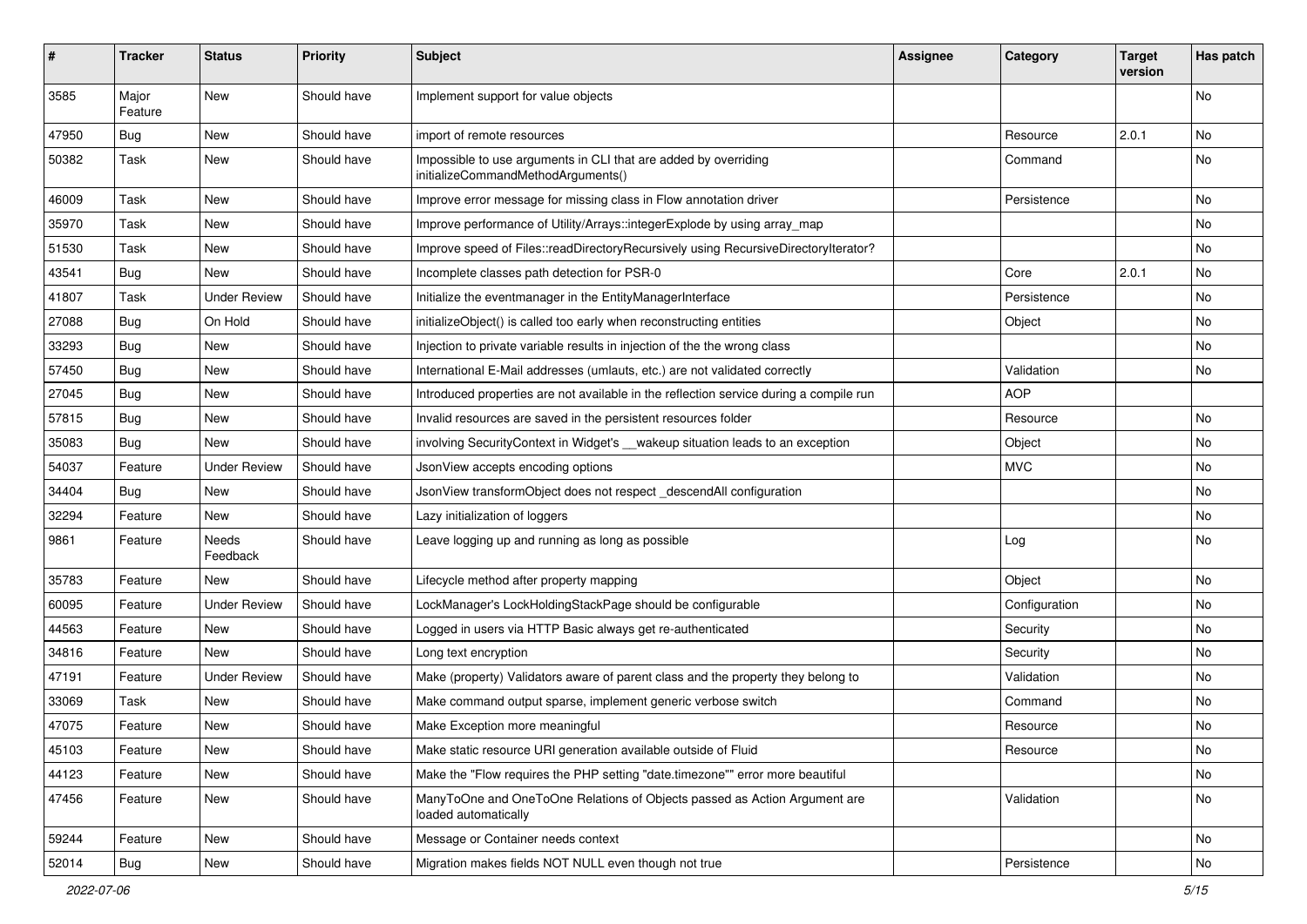| #     | <b>Tracker</b>   | <b>Status</b>       | <b>Priority</b> | <b>Subject</b>                                                                                        | <b>Assignee</b> | Category      | <b>Target</b><br>version | Has patch |
|-------|------------------|---------------------|-----------------|-------------------------------------------------------------------------------------------------------|-----------------|---------------|--------------------------|-----------|
| 3585  | Major<br>Feature | <b>New</b>          | Should have     | Implement support for value objects                                                                   |                 |               |                          | <b>No</b> |
| 47950 | <b>Bug</b>       | New                 | Should have     | import of remote resources                                                                            |                 | Resource      | 2.0.1                    | No        |
| 50382 | Task             | New                 | Should have     | Impossible to use arguments in CLI that are added by overriding<br>initializeCommandMethodArguments() |                 | Command       |                          | No        |
| 46009 | Task             | <b>New</b>          | Should have     | Improve error message for missing class in Flow annotation driver                                     |                 | Persistence   |                          | <b>No</b> |
| 35970 | Task             | New                 | Should have     | Improve performance of Utility/Arrays::integerExplode by using array_map                              |                 |               |                          | No        |
| 51530 | Task             | New                 | Should have     | Improve speed of Files::readDirectoryRecursively using RecursiveDirectoryIterator?                    |                 |               |                          | No        |
| 43541 | <b>Bug</b>       | New                 | Should have     | Incomplete classes path detection for PSR-0                                                           |                 | Core          | 2.0.1                    | No        |
| 41807 | Task             | <b>Under Review</b> | Should have     | Initialize the eventmanager in the EntityManagerInterface                                             |                 | Persistence   |                          | No        |
| 27088 | <b>Bug</b>       | On Hold             | Should have     | initializeObject() is called too early when reconstructing entities                                   |                 | Object        |                          | <b>No</b> |
| 33293 | <b>Bug</b>       | New                 | Should have     | Injection to private variable results in injection of the the wrong class                             |                 |               |                          | No        |
| 57450 | <b>Bug</b>       | New                 | Should have     | International E-Mail addresses (umlauts, etc.) are not validated correctly                            |                 | Validation    |                          | No        |
| 27045 | Bug              | New                 | Should have     | Introduced properties are not available in the reflection service during a compile run                |                 | <b>AOP</b>    |                          |           |
| 57815 | <b>Bug</b>       | New                 | Should have     | Invalid resources are saved in the persistent resources folder                                        |                 | Resource      |                          | No        |
| 35083 | <b>Bug</b>       | New                 | Should have     | involving SecurityContext in Widget's __wakeup situation leads to an exception                        |                 | Object        |                          | No        |
| 54037 | Feature          | <b>Under Review</b> | Should have     | JsonView accepts encoding options                                                                     |                 | <b>MVC</b>    |                          | No        |
| 34404 | <b>Bug</b>       | New                 | Should have     | JsonView transformObject does not respect_descendAll configuration                                    |                 |               |                          | No        |
| 32294 | Feature          | <b>New</b>          | Should have     | Lazy initialization of loggers                                                                        |                 |               |                          | No        |
| 9861  | Feature          | Needs<br>Feedback   | Should have     | Leave logging up and running as long as possible                                                      |                 | Log           |                          | No        |
| 35783 | Feature          | New                 | Should have     | Lifecycle method after property mapping                                                               |                 | Object        |                          | No        |
| 60095 | Feature          | <b>Under Review</b> | Should have     | LockManager's LockHoldingStackPage should be configurable                                             |                 | Configuration |                          | No        |
| 44563 | Feature          | New                 | Should have     | Logged in users via HTTP Basic always get re-authenticated                                            |                 | Security      |                          | No        |
| 34816 | Feature          | New                 | Should have     | Long text encryption                                                                                  |                 | Security      |                          | No        |
| 47191 | Feature          | <b>Under Review</b> | Should have     | Make (property) Validators aware of parent class and the property they belong to                      |                 | Validation    |                          | No        |
| 33069 | Task             | New                 | Should have     | Make command output sparse, implement generic verbose switch                                          |                 | Command       |                          | No        |
| 47075 | Feature          | New                 | Should have     | Make Exception more meaningful                                                                        |                 | Resource      |                          | No        |
| 45103 | Feature          | New                 | Should have     | Make static resource URI generation available outside of Fluid                                        |                 | Resource      |                          | No        |
| 44123 | Feature          | New                 | Should have     | Make the "Flow requires the PHP setting "date.timezone"" error more beautiful                         |                 |               |                          | No        |
| 47456 | Feature          | New                 | Should have     | ManyToOne and OneToOne Relations of Objects passed as Action Argument are<br>loaded automatically     |                 | Validation    |                          | No        |
| 59244 | Feature          | New                 | Should have     | Message or Container needs context                                                                    |                 |               |                          | No        |
| 52014 | <b>Bug</b>       | New                 | Should have     | Migration makes fields NOT NULL even though not true                                                  |                 | Persistence   |                          | No        |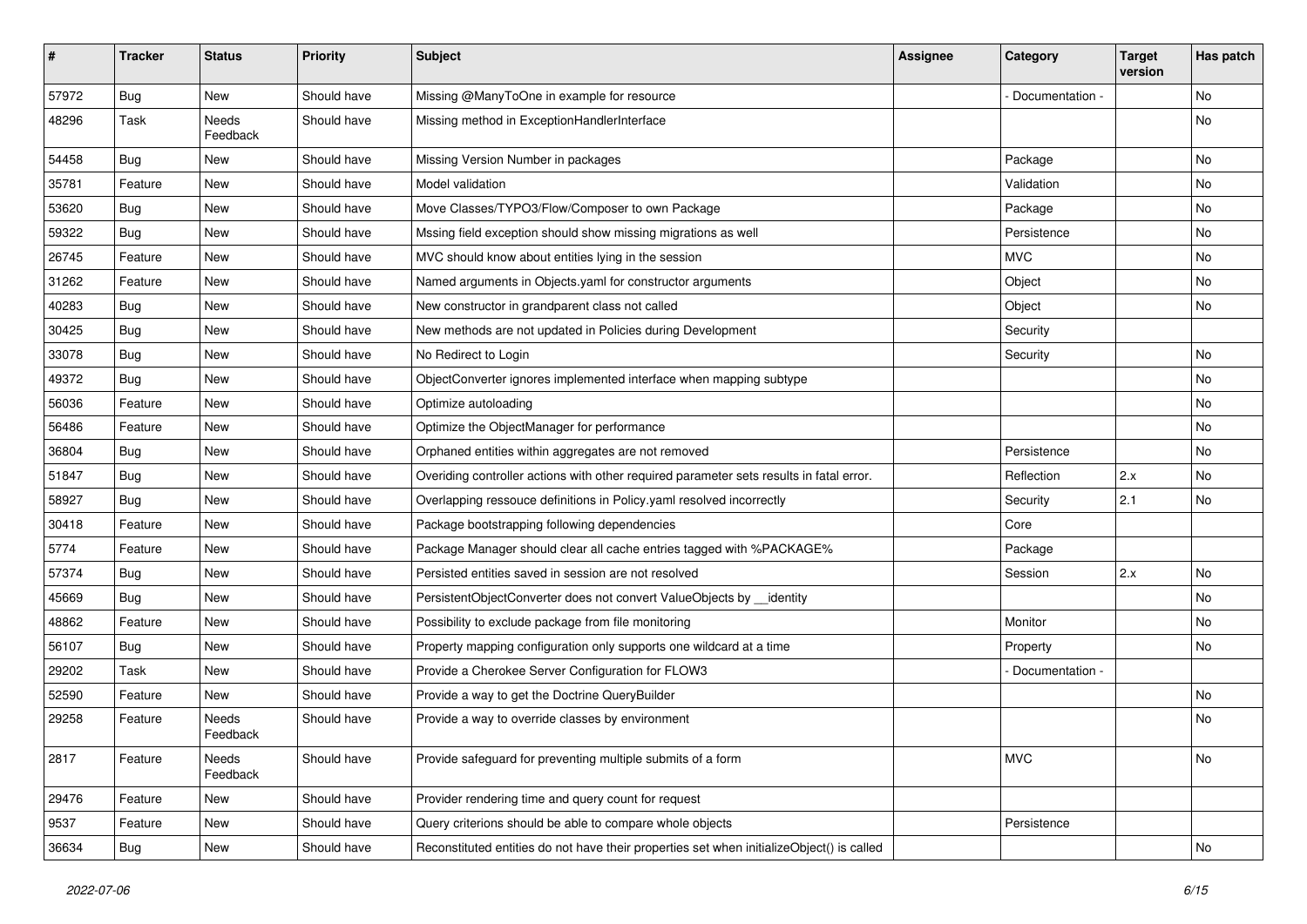| #     | <b>Tracker</b> | <b>Status</b>     | <b>Priority</b> | <b>Subject</b>                                                                            | <b>Assignee</b> | Category        | <b>Target</b><br>version | Has patch |
|-------|----------------|-------------------|-----------------|-------------------------------------------------------------------------------------------|-----------------|-----------------|--------------------------|-----------|
| 57972 | Bug            | <b>New</b>        | Should have     | Missing @ManyToOne in example for resource                                                |                 | Documentation - |                          | No        |
| 48296 | Task           | Needs<br>Feedback | Should have     | Missing method in ExceptionHandlerInterface                                               |                 |                 |                          | No        |
| 54458 | Bug            | <b>New</b>        | Should have     | Missing Version Number in packages                                                        |                 | Package         |                          | No        |
| 35781 | Feature        | New               | Should have     | Model validation                                                                          |                 | Validation      |                          | No        |
| 53620 | Bug            | <b>New</b>        | Should have     | Move Classes/TYPO3/Flow/Composer to own Package                                           |                 | Package         |                          | No        |
| 59322 | <b>Bug</b>     | New               | Should have     | Mssing field exception should show missing migrations as well                             |                 | Persistence     |                          | No        |
| 26745 | Feature        | <b>New</b>        | Should have     | MVC should know about entities lying in the session                                       |                 | <b>MVC</b>      |                          | No        |
| 31262 | Feature        | <b>New</b>        | Should have     | Named arguments in Objects.yaml for constructor arguments                                 |                 | Object          |                          | No        |
| 40283 | <b>Bug</b>     | New               | Should have     | New constructor in grandparent class not called                                           |                 | Object          |                          | No        |
| 30425 | <b>Bug</b>     | <b>New</b>        | Should have     | New methods are not updated in Policies during Development                                |                 | Security        |                          |           |
| 33078 | <b>Bug</b>     | New               | Should have     | No Redirect to Login                                                                      |                 | Security        |                          | No        |
| 49372 | <b>Bug</b>     | <b>New</b>        | Should have     | ObjectConverter ignores implemented interface when mapping subtype                        |                 |                 |                          | No        |
| 56036 | Feature        | <b>New</b>        | Should have     | Optimize autoloading                                                                      |                 |                 |                          | No        |
| 56486 | Feature        | New               | Should have     | Optimize the ObjectManager for performance                                                |                 |                 |                          | No        |
| 36804 | <b>Bug</b>     | New               | Should have     | Orphaned entities within aggregates are not removed                                       |                 | Persistence     |                          | No        |
| 51847 | Bug            | <b>New</b>        | Should have     | Overiding controller actions with other required parameter sets results in fatal error.   |                 | Reflection      | 2.x                      | No        |
| 58927 | <b>Bug</b>     | New               | Should have     | Overlapping ressouce definitions in Policy.yaml resolved incorrectly                      |                 | Security        | 2.1                      | No        |
| 30418 | Feature        | <b>New</b>        | Should have     | Package bootstrapping following dependencies                                              |                 | Core            |                          |           |
| 5774  | Feature        | New               | Should have     | Package Manager should clear all cache entries tagged with %PACKAGE%                      |                 | Package         |                          |           |
| 57374 | <b>Bug</b>     | <b>New</b>        | Should have     | Persisted entities saved in session are not resolved                                      |                 | Session         | 2.x                      | No        |
| 45669 | Bug            | <b>New</b>        | Should have     | PersistentObjectConverter does not convert ValueObjects by __identity                     |                 |                 |                          | No        |
| 48862 | Feature        | New               | Should have     | Possibility to exclude package from file monitoring                                       |                 | Monitor         |                          | No        |
| 56107 | Bug            | <b>New</b>        | Should have     | Property mapping configuration only supports one wildcard at a time                       |                 | Property        |                          | No        |
| 29202 | Task           | New               | Should have     | Provide a Cherokee Server Configuration for FLOW3                                         |                 | Documentation - |                          |           |
| 52590 | Feature        | <b>New</b>        | Should have     | Provide a way to get the Doctrine QueryBuilder                                            |                 |                 |                          | No        |
| 29258 | Feature        | Needs<br>Feedback | Should have     | Provide a way to override classes by environment                                          |                 |                 |                          | No        |
| 2817  | Feature        | Needs<br>Feedback | Should have     | Provide safeguard for preventing multiple submits of a form                               |                 | <b>MVC</b>      |                          | No        |
| 29476 | Feature        | New               | Should have     | Provider rendering time and query count for request                                       |                 |                 |                          |           |
| 9537  | Feature        | New               | Should have     | Query criterions should be able to compare whole objects                                  |                 | Persistence     |                          |           |
| 36634 | <b>Bug</b>     | New               | Should have     | Reconstituted entities do not have their properties set when initializeObject() is called |                 |                 |                          | No        |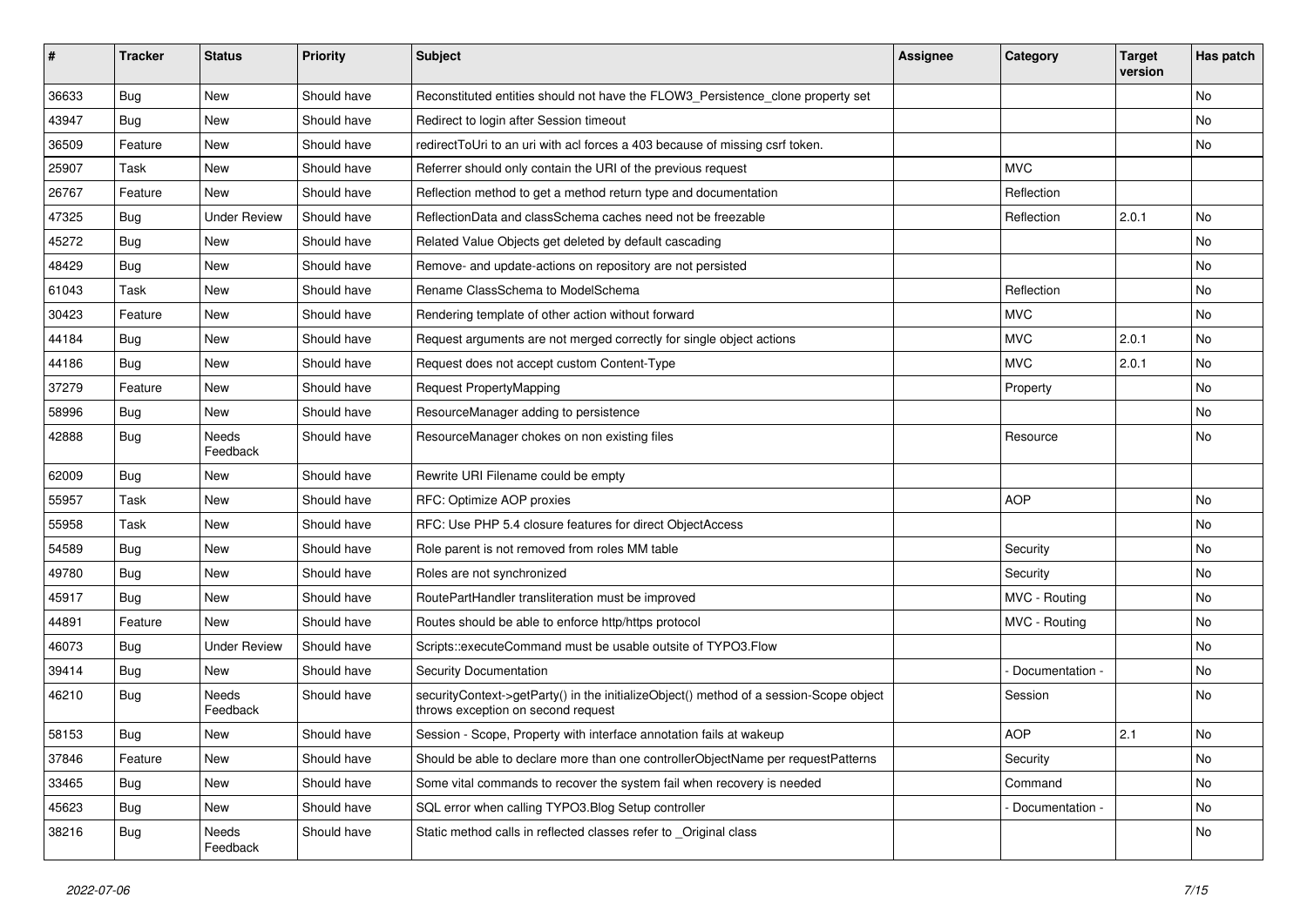| #     | <b>Tracker</b> | <b>Status</b>       | <b>Priority</b> | <b>Subject</b>                                                                                                               | <b>Assignee</b> | Category        | <b>Target</b><br>version | Has patch |
|-------|----------------|---------------------|-----------------|------------------------------------------------------------------------------------------------------------------------------|-----------------|-----------------|--------------------------|-----------|
| 36633 | Bug            | New                 | Should have     | Reconstituted entities should not have the FLOW3_Persistence_clone property set                                              |                 |                 |                          | No        |
| 43947 | <b>Bug</b>     | New                 | Should have     | Redirect to login after Session timeout                                                                                      |                 |                 |                          | No        |
| 36509 | Feature        | New                 | Should have     | redirect ToUri to an uri with acl forces a 403 because of missing csrf token.                                                |                 |                 |                          | No        |
| 25907 | Task           | <b>New</b>          | Should have     | Referrer should only contain the URI of the previous request                                                                 |                 | <b>MVC</b>      |                          |           |
| 26767 | Feature        | New                 | Should have     | Reflection method to get a method return type and documentation                                                              |                 | Reflection      |                          |           |
| 47325 | <b>Bug</b>     | <b>Under Review</b> | Should have     | ReflectionData and classSchema caches need not be freezable                                                                  |                 | Reflection      | 2.0.1                    | No        |
| 45272 | Bug            | New                 | Should have     | Related Value Objects get deleted by default cascading                                                                       |                 |                 |                          | No        |
| 48429 | Bug            | New                 | Should have     | Remove- and update-actions on repository are not persisted                                                                   |                 |                 |                          | No        |
| 61043 | Task           | New                 | Should have     | Rename ClassSchema to ModelSchema                                                                                            |                 | Reflection      |                          | No        |
| 30423 | Feature        | New                 | Should have     | Rendering template of other action without forward                                                                           |                 | <b>MVC</b>      |                          | No        |
| 44184 | <b>Bug</b>     | New                 | Should have     | Request arguments are not merged correctly for single object actions                                                         |                 | <b>MVC</b>      | 2.0.1                    | No.       |
| 44186 | Bug            | New                 | Should have     | Request does not accept custom Content-Type                                                                                  |                 | <b>MVC</b>      | 2.0.1                    | No        |
| 37279 | Feature        | New                 | Should have     | <b>Request PropertyMapping</b>                                                                                               |                 | Property        |                          | No        |
| 58996 | Bug            | New                 | Should have     | ResourceManager adding to persistence                                                                                        |                 |                 |                          | No        |
| 42888 | <b>Bug</b>     | Needs<br>Feedback   | Should have     | ResourceManager chokes on non existing files                                                                                 |                 | Resource        |                          | No        |
| 62009 | <b>Bug</b>     | <b>New</b>          | Should have     | Rewrite URI Filename could be empty                                                                                          |                 |                 |                          |           |
| 55957 | Task           | New                 | Should have     | RFC: Optimize AOP proxies                                                                                                    |                 | <b>AOP</b>      |                          | No        |
| 55958 | Task           | <b>New</b>          | Should have     | RFC: Use PHP 5.4 closure features for direct ObjectAccess                                                                    |                 |                 |                          | No.       |
| 54589 | <b>Bug</b>     | New                 | Should have     | Role parent is not removed from roles MM table                                                                               |                 | Security        |                          | No        |
| 49780 | Bug            | New                 | Should have     | Roles are not synchronized                                                                                                   |                 | Security        |                          | No        |
| 45917 | <b>Bug</b>     | New                 | Should have     | RoutePartHandler transliteration must be improved                                                                            |                 | MVC - Routing   |                          | No        |
| 44891 | Feature        | New                 | Should have     | Routes should be able to enforce http/https protocol                                                                         |                 | MVC - Routing   |                          | No        |
| 46073 | <b>Bug</b>     | <b>Under Review</b> | Should have     | Scripts::executeCommand must be usable outsite of TYPO3.Flow                                                                 |                 |                 |                          | No.       |
| 39414 | <b>Bug</b>     | New                 | Should have     | <b>Security Documentation</b>                                                                                                |                 | Documentation - |                          | No        |
| 46210 | <b>Bug</b>     | Needs<br>Feedback   | Should have     | securityContext->getParty() in the initializeObject() method of a session-Scope object<br>throws exception on second request |                 | Session         |                          | No        |
| 58153 | Bug            | New                 | Should have     | Session - Scope, Property with interface annotation fails at wakeup                                                          |                 | AOP             | 2.1                      | No        |
| 37846 | Feature        | New                 | Should have     | Should be able to declare more than one controllerObjectName per requestPatterns                                             |                 | Security        |                          | No        |
| 33465 | Bug            | New                 | Should have     | Some vital commands to recover the system fail when recovery is needed                                                       |                 | Command         |                          | No        |
| 45623 | Bug            | New                 | Should have     | SQL error when calling TYPO3. Blog Setup controller                                                                          |                 | Documentation - |                          | No        |
| 38216 | <b>Bug</b>     | Needs<br>Feedback   | Should have     | Static method calls in reflected classes refer to Original class                                                             |                 |                 |                          | No        |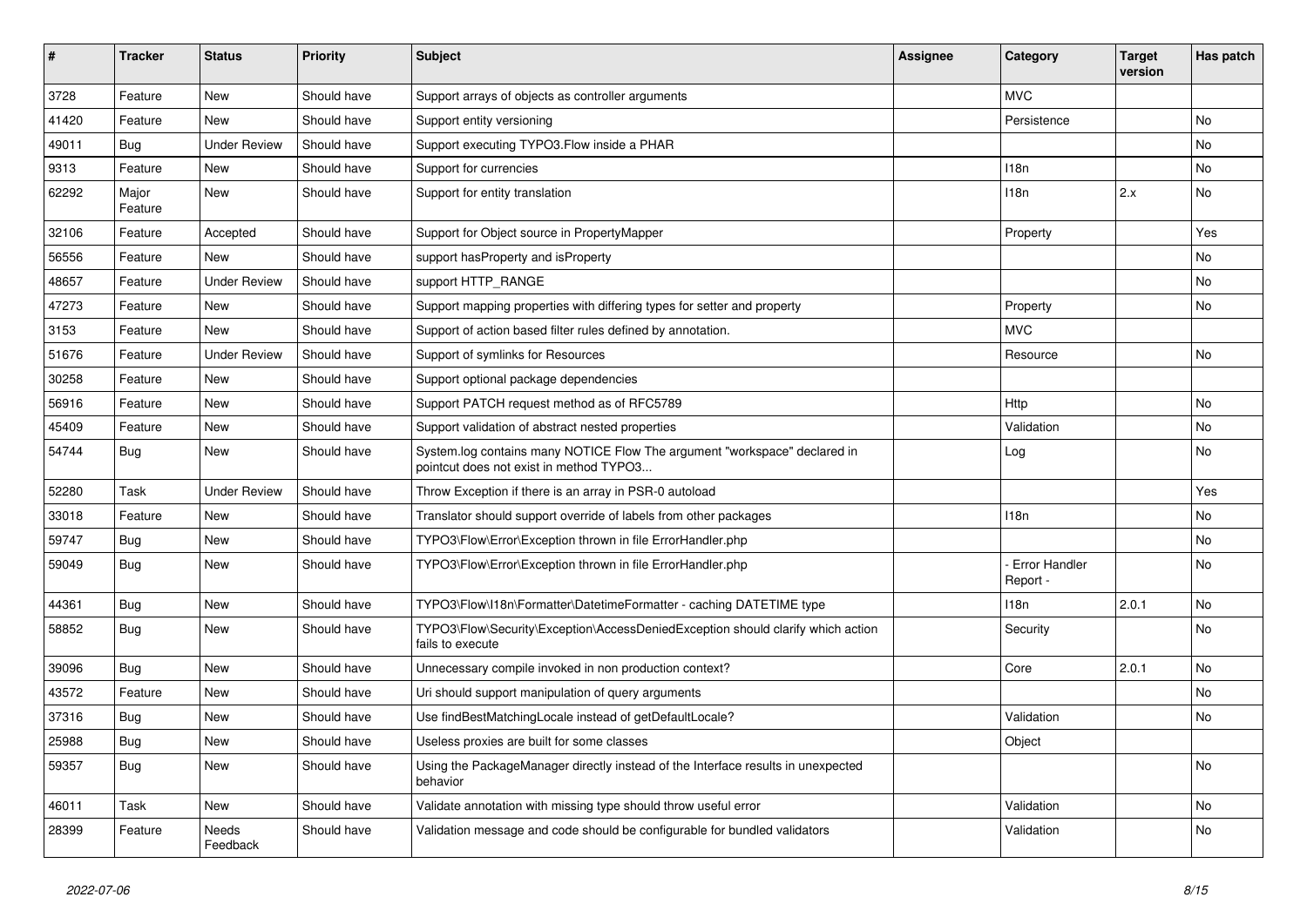| ∦     | <b>Tracker</b>   | <b>Status</b>            | <b>Priority</b> | <b>Subject</b>                                                                                                       | <b>Assignee</b> | Category                  | <b>Target</b><br>version | Has patch |
|-------|------------------|--------------------------|-----------------|----------------------------------------------------------------------------------------------------------------------|-----------------|---------------------------|--------------------------|-----------|
| 3728  | Feature          | New                      | Should have     | Support arrays of objects as controller arguments                                                                    |                 | <b>MVC</b>                |                          |           |
| 41420 | Feature          | <b>New</b>               | Should have     | Support entity versioning                                                                                            |                 | Persistence               |                          | <b>No</b> |
| 49011 | Bug              | <b>Under Review</b>      | Should have     | Support executing TYPO3. Flow inside a PHAR                                                                          |                 |                           |                          | No        |
| 9313  | Feature          | <b>New</b>               | Should have     | Support for currencies                                                                                               |                 | 118n                      |                          | No        |
| 62292 | Major<br>Feature | <b>New</b>               | Should have     | Support for entity translation                                                                                       |                 | 118n                      | 2.x                      | No        |
| 32106 | Feature          | Accepted                 | Should have     | Support for Object source in PropertyMapper                                                                          |                 | Property                  |                          | Yes       |
| 56556 | Feature          | <b>New</b>               | Should have     | support has Property and is Property                                                                                 |                 |                           |                          | No        |
| 48657 | Feature          | <b>Under Review</b>      | Should have     | support HTTP_RANGE                                                                                                   |                 |                           |                          | No        |
| 47273 | Feature          | <b>New</b>               | Should have     | Support mapping properties with differing types for setter and property                                              |                 | Property                  |                          | No        |
| 3153  | Feature          | <b>New</b>               | Should have     | Support of action based filter rules defined by annotation.                                                          |                 | <b>MVC</b>                |                          |           |
| 51676 | Feature          | <b>Under Review</b>      | Should have     | Support of symlinks for Resources                                                                                    |                 | Resource                  |                          | <b>No</b> |
| 30258 | Feature          | <b>New</b>               | Should have     | Support optional package dependencies                                                                                |                 |                           |                          |           |
| 56916 | Feature          | <b>New</b>               | Should have     | Support PATCH request method as of RFC5789                                                                           |                 | Http                      |                          | <b>No</b> |
| 45409 | Feature          | <b>New</b>               | Should have     | Support validation of abstract nested properties                                                                     |                 | Validation                |                          | <b>No</b> |
| 54744 | Bug              | <b>New</b>               | Should have     | System.log contains many NOTICE Flow The argument "workspace" declared in<br>pointcut does not exist in method TYPO3 |                 | Log                       |                          | <b>No</b> |
| 52280 | Task             | <b>Under Review</b>      | Should have     | Throw Exception if there is an array in PSR-0 autoload                                                               |                 |                           |                          | Yes       |
| 33018 | Feature          | New                      | Should have     | Translator should support override of labels from other packages                                                     |                 | 118n                      |                          | No        |
| 59747 | <b>Bug</b>       | <b>New</b>               | Should have     | TYPO3\Flow\Error\Exception thrown in file ErrorHandler.php                                                           |                 |                           |                          | No        |
| 59049 | <b>Bug</b>       | <b>New</b>               | Should have     | TYPO3\Flow\Error\Exception thrown in file ErrorHandler.php                                                           |                 | Error Handler<br>Report - |                          | No        |
| 44361 | Bug              | <b>New</b>               | Should have     | TYPO3\Flow\I18n\Formatter\DatetimeFormatter - caching DATETIME type                                                  |                 | 118n                      | 2.0.1                    | No        |
| 58852 | <b>Bug</b>       | <b>New</b>               | Should have     | TYPO3\Flow\Security\Exception\AccessDeniedException should clarify which action<br>fails to execute                  |                 | Security                  |                          | <b>No</b> |
| 39096 | Bug              | <b>New</b>               | Should have     | Unnecessary compile invoked in non production context?                                                               |                 | Core                      | 2.0.1                    | <b>No</b> |
| 43572 | Feature          | <b>New</b>               | Should have     | Uri should support manipulation of query arguments                                                                   |                 |                           |                          | <b>No</b> |
| 37316 | Bug              | <b>New</b>               | Should have     | Use findBestMatchingLocale instead of getDefaultLocale?                                                              |                 | Validation                |                          | <b>No</b> |
| 25988 | <b>Bug</b>       | <b>New</b>               | Should have     | Useless proxies are built for some classes                                                                           |                 | Object                    |                          |           |
| 59357 | Bug              | <b>New</b>               | Should have     | Using the PackageManager directly instead of the Interface results in unexpected<br>behavior                         |                 |                           |                          | No        |
| 46011 | Task             | <b>New</b>               | Should have     | Validate annotation with missing type should throw useful error                                                      |                 | Validation                |                          | No        |
| 28399 | Feature          | <b>Needs</b><br>Feedback | Should have     | Validation message and code should be configurable for bundled validators                                            |                 | Validation                |                          | <b>No</b> |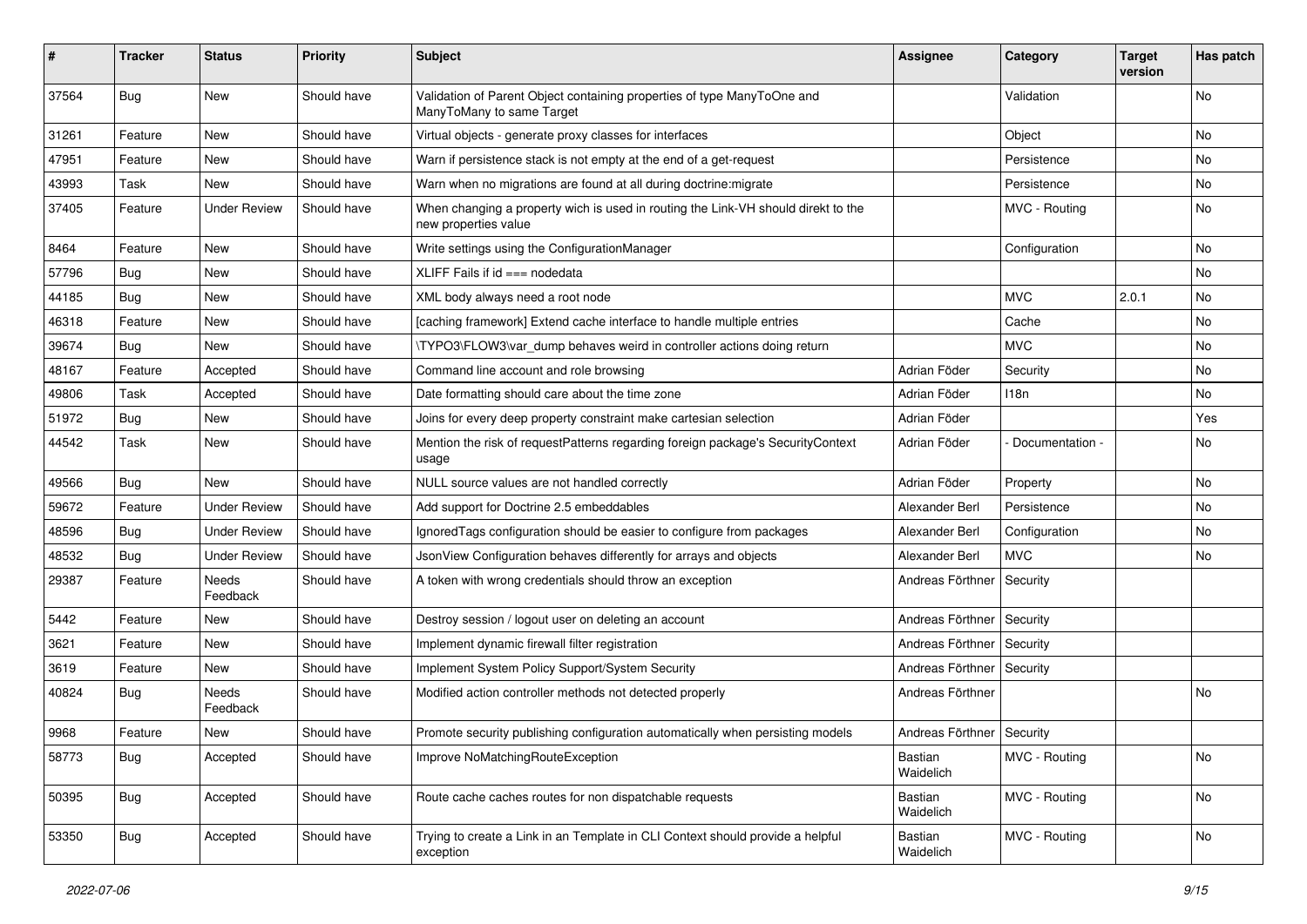| #     | Tracker    | <b>Status</b>       | <b>Priority</b> | <b>Subject</b>                                                                                            | <b>Assignee</b>             | Category        | <b>Target</b><br>version | Has patch |
|-------|------------|---------------------|-----------------|-----------------------------------------------------------------------------------------------------------|-----------------------------|-----------------|--------------------------|-----------|
| 37564 | <b>Bug</b> | New                 | Should have     | Validation of Parent Object containing properties of type ManyToOne and<br>ManyToMany to same Target      |                             | Validation      |                          | No        |
| 31261 | Feature    | New                 | Should have     | Virtual objects - generate proxy classes for interfaces                                                   |                             | Object          |                          | No        |
| 47951 | Feature    | <b>New</b>          | Should have     | Warn if persistence stack is not empty at the end of a get-request                                        |                             | Persistence     |                          | No        |
| 43993 | Task       | New                 | Should have     | Warn when no migrations are found at all during doctrine: migrate                                         |                             | Persistence     |                          | No        |
| 37405 | Feature    | <b>Under Review</b> | Should have     | When changing a property wich is used in routing the Link-VH should direkt to the<br>new properties value |                             | MVC - Routing   |                          | No        |
| 8464  | Feature    | New                 | Should have     | Write settings using the ConfigurationManager                                                             |                             | Configuration   |                          | No        |
| 57796 | <b>Bug</b> | New                 | Should have     | XLIFF Fails if $id ==$ nodedata                                                                           |                             |                 |                          | No        |
| 44185 | <b>Bug</b> | New                 | Should have     | XML body always need a root node                                                                          |                             | <b>MVC</b>      | 2.0.1                    | No        |
| 46318 | Feature    | New                 | Should have     | [caching framework] Extend cache interface to handle multiple entries                                     |                             | Cache           |                          | No        |
| 39674 | <b>Bug</b> | <b>New</b>          | Should have     | \TYPO3\FLOW3\var_dump behaves weird in controller actions doing return                                    |                             | <b>MVC</b>      |                          | No        |
| 48167 | Feature    | Accepted            | Should have     | Command line account and role browsing                                                                    | Adrian Föder                | Security        |                          | No        |
| 49806 | Task       | Accepted            | Should have     | Date formatting should care about the time zone                                                           | Adrian Föder                | 118n            |                          | No.       |
| 51972 | <b>Bug</b> | New                 | Should have     | Joins for every deep property constraint make cartesian selection                                         | Adrian Föder                |                 |                          | Yes       |
| 44542 | Task       | New                 | Should have     | Mention the risk of requestPatterns regarding foreign package's SecurityContext<br>usage                  | Adrian Föder                | Documentation - |                          | No        |
| 49566 | <b>Bug</b> | <b>New</b>          | Should have     | NULL source values are not handled correctly                                                              | Adrian Föder                | Property        |                          | No        |
| 59672 | Feature    | <b>Under Review</b> | Should have     | Add support for Doctrine 2.5 embeddables                                                                  | Alexander Berl              | Persistence     |                          | No        |
| 48596 | <b>Bug</b> | <b>Under Review</b> | Should have     | Ignored Tags configuration should be easier to configure from packages                                    | Alexander Berl              | Configuration   |                          | No        |
| 48532 | Bug        | <b>Under Review</b> | Should have     | JsonView Configuration behaves differently for arrays and objects                                         | Alexander Berl              | <b>MVC</b>      |                          | No        |
| 29387 | Feature    | Needs<br>Feedback   | Should have     | A token with wrong credentials should throw an exception                                                  | Andreas Förthner            | Security        |                          |           |
| 5442  | Feature    | New                 | Should have     | Destroy session / logout user on deleting an account                                                      | Andreas Förthner            | Security        |                          |           |
| 3621  | Feature    | New                 | Should have     | Implement dynamic firewall filter registration                                                            | Andreas Förthner            | Security        |                          |           |
| 3619  | Feature    | New                 | Should have     | Implement System Policy Support/System Security                                                           | Andreas Förthner            | Security        |                          |           |
| 40824 | Bug        | Needs<br>Feedback   | Should have     | Modified action controller methods not detected properly                                                  | Andreas Förthner            |                 |                          | No        |
| 9968  | Feature    | New                 | Should have     | Promote security publishing configuration automatically when persisting models                            | Andreas Förthner   Security |                 |                          |           |
| 58773 | <b>Bug</b> | Accepted            | Should have     | Improve NoMatchingRouteException                                                                          | Bastian<br>Waidelich        | MVC - Routing   |                          | No        |
| 50395 | <b>Bug</b> | Accepted            | Should have     | Route cache caches routes for non dispatchable requests                                                   | Bastian<br>Waidelich        | MVC - Routing   |                          | No        |
| 53350 | <b>Bug</b> | Accepted            | Should have     | Trying to create a Link in an Template in CLI Context should provide a helpful<br>exception               | Bastian<br>Waidelich        | MVC - Routing   |                          | No        |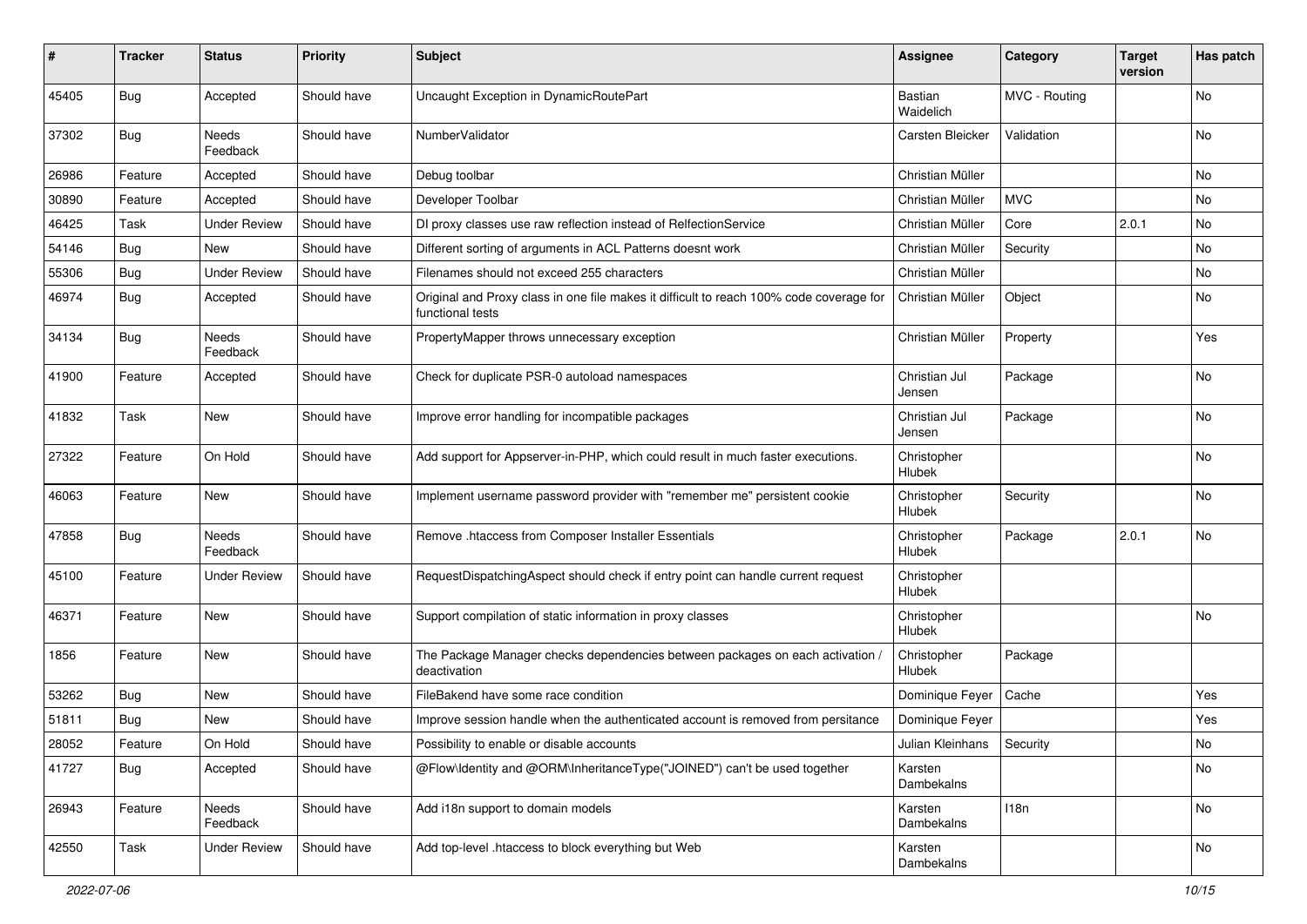| ∦     | <b>Tracker</b> | <b>Status</b>            | <b>Priority</b> | <b>Subject</b>                                                                                              | <b>Assignee</b>         | Category      | <b>Target</b><br>version | Has patch |
|-------|----------------|--------------------------|-----------------|-------------------------------------------------------------------------------------------------------------|-------------------------|---------------|--------------------------|-----------|
| 45405 | <b>Bug</b>     | Accepted                 | Should have     | Uncaught Exception in DynamicRoutePart                                                                      | Bastian<br>Waidelich    | MVC - Routing |                          | No        |
| 37302 | <b>Bug</b>     | <b>Needs</b><br>Feedback | Should have     | NumberValidator                                                                                             | Carsten Bleicker        | Validation    |                          | <b>No</b> |
| 26986 | Feature        | Accepted                 | Should have     | Debug toolbar                                                                                               | Christian Müller        |               |                          | <b>No</b> |
| 30890 | Feature        | Accepted                 | Should have     | Developer Toolbar                                                                                           | Christian Müller        | <b>MVC</b>    |                          | No        |
| 46425 | Task           | <b>Under Review</b>      | Should have     | DI proxy classes use raw reflection instead of RelfectionService                                            | Christian Müller        | Core          | 2.0.1                    | No        |
| 54146 | Bug            | New                      | Should have     | Different sorting of arguments in ACL Patterns doesnt work                                                  | Christian Müller        | Security      |                          | No        |
| 55306 | Bug            | <b>Under Review</b>      | Should have     | Filenames should not exceed 255 characters                                                                  | Christian Müller        |               |                          | <b>No</b> |
| 46974 | Bug            | Accepted                 | Should have     | Original and Proxy class in one file makes it difficult to reach 100% code coverage for<br>functional tests | Christian Müller        | Object        |                          | No        |
| 34134 | <b>Bug</b>     | Needs<br>Feedback        | Should have     | PropertyMapper throws unnecessary exception                                                                 | Christian Müller        | Property      |                          | Yes       |
| 41900 | Feature        | Accepted                 | Should have     | Check for duplicate PSR-0 autoload namespaces                                                               | Christian Jul<br>Jensen | Package       |                          | No        |
| 41832 | Task           | New                      | Should have     | Improve error handling for incompatible packages                                                            | Christian Jul<br>Jensen | Package       |                          | No        |
| 27322 | Feature        | On Hold                  | Should have     | Add support for Appserver-in-PHP, which could result in much faster executions.                             | Christopher<br>Hlubek   |               |                          | No        |
| 46063 | Feature        | <b>New</b>               | Should have     | Implement username password provider with "remember me" persistent cookie                                   | Christopher<br>Hlubek   | Security      |                          | <b>No</b> |
| 47858 | Bug            | <b>Needs</b><br>Feedback | Should have     | Remove .htaccess from Composer Installer Essentials                                                         | Christopher<br>Hlubek   | Package       | 2.0.1                    | <b>No</b> |
| 45100 | Feature        | <b>Under Review</b>      | Should have     | RequestDispatchingAspect should check if entry point can handle current request                             | Christopher<br>Hlubek   |               |                          |           |
| 46371 | Feature        | New                      | Should have     | Support compilation of static information in proxy classes                                                  | Christopher<br>Hlubek   |               |                          | No        |
| 1856  | Feature        | New                      | Should have     | The Package Manager checks dependencies between packages on each activation .<br>deactivation               | Christopher<br>Hlubek   | Package       |                          |           |
| 53262 | Bug            | New                      | Should have     | FileBakend have some race condition                                                                         | Dominique Feyer         | Cache         |                          | Yes       |
| 51811 | Bug            | <b>New</b>               | Should have     | Improve session handle when the authenticated account is removed from persitance                            | Dominique Feyer         |               |                          | Yes       |
| 28052 | Feature        | On Hold                  | Should have     | Possibility to enable or disable accounts                                                                   | Julian Kleinhans        | Security      |                          | No        |
| 41727 | Bug            | Accepted                 | Should have     | @Flow\Identity and @ORM\InheritanceType("JOINED") can't be used together                                    | Karsten<br>Dambekalns   |               |                          | No        |
| 26943 | Feature        | Needs<br>Feedback        | Should have     | Add i18n support to domain models                                                                           | Karsten<br>Dambekalns   | 118n          |                          | No        |
| 42550 | Task           | <b>Under Review</b>      | Should have     | Add top-level .htaccess to block everything but Web                                                         | Karsten<br>Dambekalns   |               |                          | No        |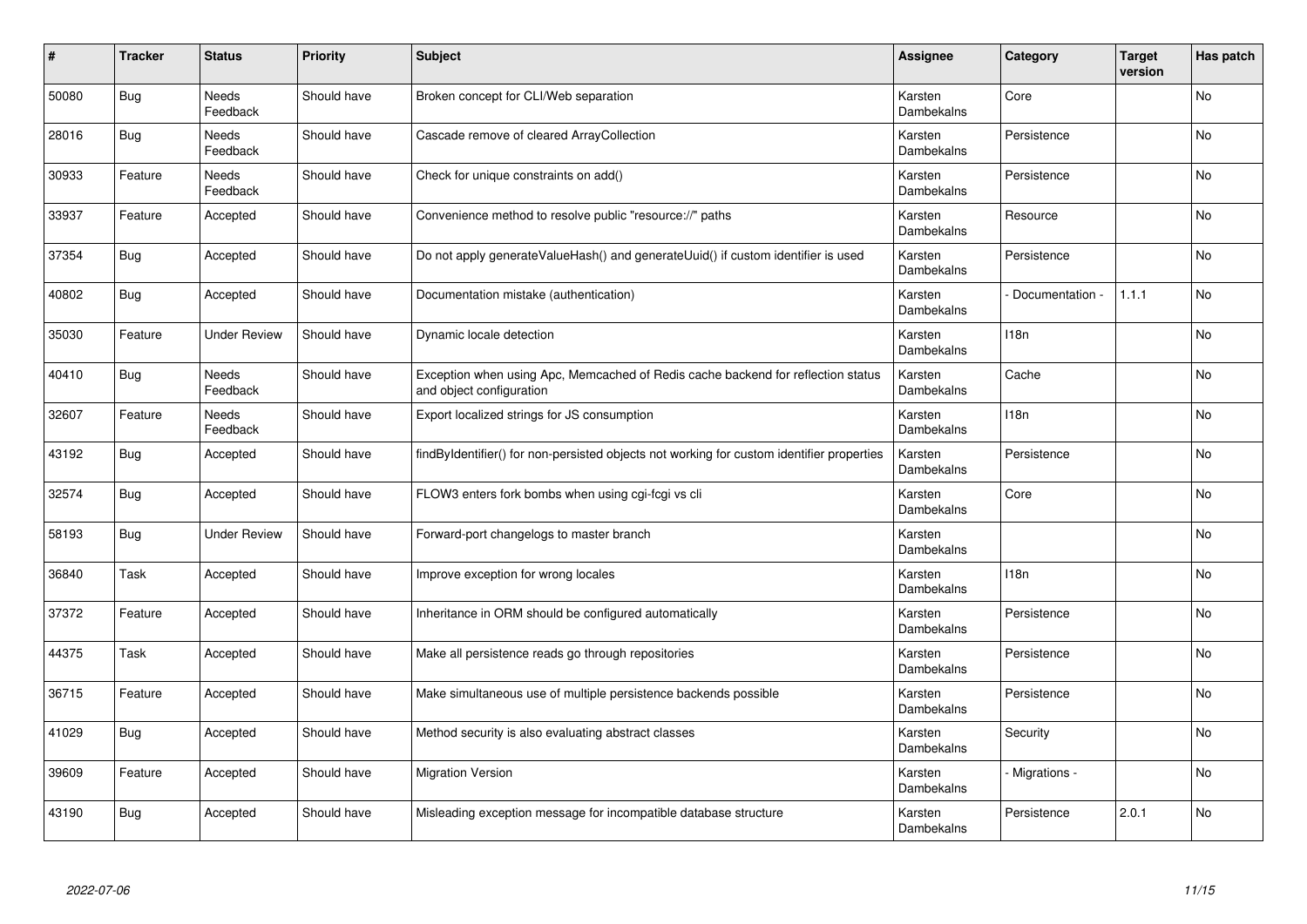| #     | <b>Tracker</b> | <b>Status</b>            | <b>Priority</b> | <b>Subject</b>                                                                                               | <b>Assignee</b>       | Category        | <b>Target</b><br>version | Has patch |
|-------|----------------|--------------------------|-----------------|--------------------------------------------------------------------------------------------------------------|-----------------------|-----------------|--------------------------|-----------|
| 50080 | Bug            | <b>Needs</b><br>Feedback | Should have     | Broken concept for CLI/Web separation                                                                        | Karsten<br>Dambekalns | Core            |                          | <b>No</b> |
| 28016 | Bug            | Needs<br>Feedback        | Should have     | Cascade remove of cleared ArrayCollection                                                                    | Karsten<br>Dambekalns | Persistence     |                          | No        |
| 30933 | Feature        | Needs<br>Feedback        | Should have     | Check for unique constraints on add()                                                                        | Karsten<br>Dambekalns | Persistence     |                          | No        |
| 33937 | Feature        | Accepted                 | Should have     | Convenience method to resolve public "resource://" paths                                                     | Karsten<br>Dambekalns | Resource        |                          | No        |
| 37354 | <b>Bug</b>     | Accepted                 | Should have     | Do not apply generateValueHash() and generateUuid() if custom identifier is used                             | Karsten<br>Dambekalns | Persistence     |                          | <b>No</b> |
| 40802 | Bug            | Accepted                 | Should have     | Documentation mistake (authentication)                                                                       | Karsten<br>Dambekalns | Documentation - | 1.1.1                    | No        |
| 35030 | Feature        | <b>Under Review</b>      | Should have     | Dynamic locale detection                                                                                     | Karsten<br>Dambekalns | 118n            |                          | No        |
| 40410 | Bug            | <b>Needs</b><br>Feedback | Should have     | Exception when using Apc, Memcached of Redis cache backend for reflection status<br>and object configuration | Karsten<br>Dambekalns | Cache           |                          | No        |
| 32607 | Feature        | <b>Needs</b><br>Feedback | Should have     | Export localized strings for JS consumption                                                                  | Karsten<br>Dambekalns | 118n            |                          | <b>No</b> |
| 43192 | Bug            | Accepted                 | Should have     | findByIdentifier() for non-persisted objects not working for custom identifier properties                    | Karsten<br>Dambekalns | Persistence     |                          | <b>No</b> |
| 32574 | <b>Bug</b>     | Accepted                 | Should have     | FLOW3 enters fork bombs when using cgi-fcgi vs cli                                                           | Karsten<br>Dambekalns | Core            |                          | No        |
| 58193 | <b>Bug</b>     | Under Review             | Should have     | Forward-port changelogs to master branch                                                                     | Karsten<br>Dambekalns |                 |                          | <b>No</b> |
| 36840 | Task           | Accepted                 | Should have     | Improve exception for wrong locales                                                                          | Karsten<br>Dambekalns | 118n            |                          | No        |
| 37372 | Feature        | Accepted                 | Should have     | Inheritance in ORM should be configured automatically                                                        | Karsten<br>Dambekalns | Persistence     |                          | No        |
| 44375 | Task           | Accepted                 | Should have     | Make all persistence reads go through repositories                                                           | Karsten<br>Dambekalns | Persistence     |                          | No        |
| 36715 | Feature        | Accepted                 | Should have     | Make simultaneous use of multiple persistence backends possible                                              | Karsten<br>Dambekalns | Persistence     |                          | No        |
| 41029 | Bug            | Accepted                 | Should have     | Method security is also evaluating abstract classes                                                          | Karsten<br>Dambekalns | Security        |                          | No        |
| 39609 | Feature        | Accepted                 | Should have     | <b>Migration Version</b>                                                                                     | Karsten<br>Dambekalns | Migrations -    |                          | No        |
| 43190 | Bug            | Accepted                 | Should have     | Misleading exception message for incompatible database structure                                             | Karsten<br>Dambekalns | Persistence     | 2.0.1                    | <b>No</b> |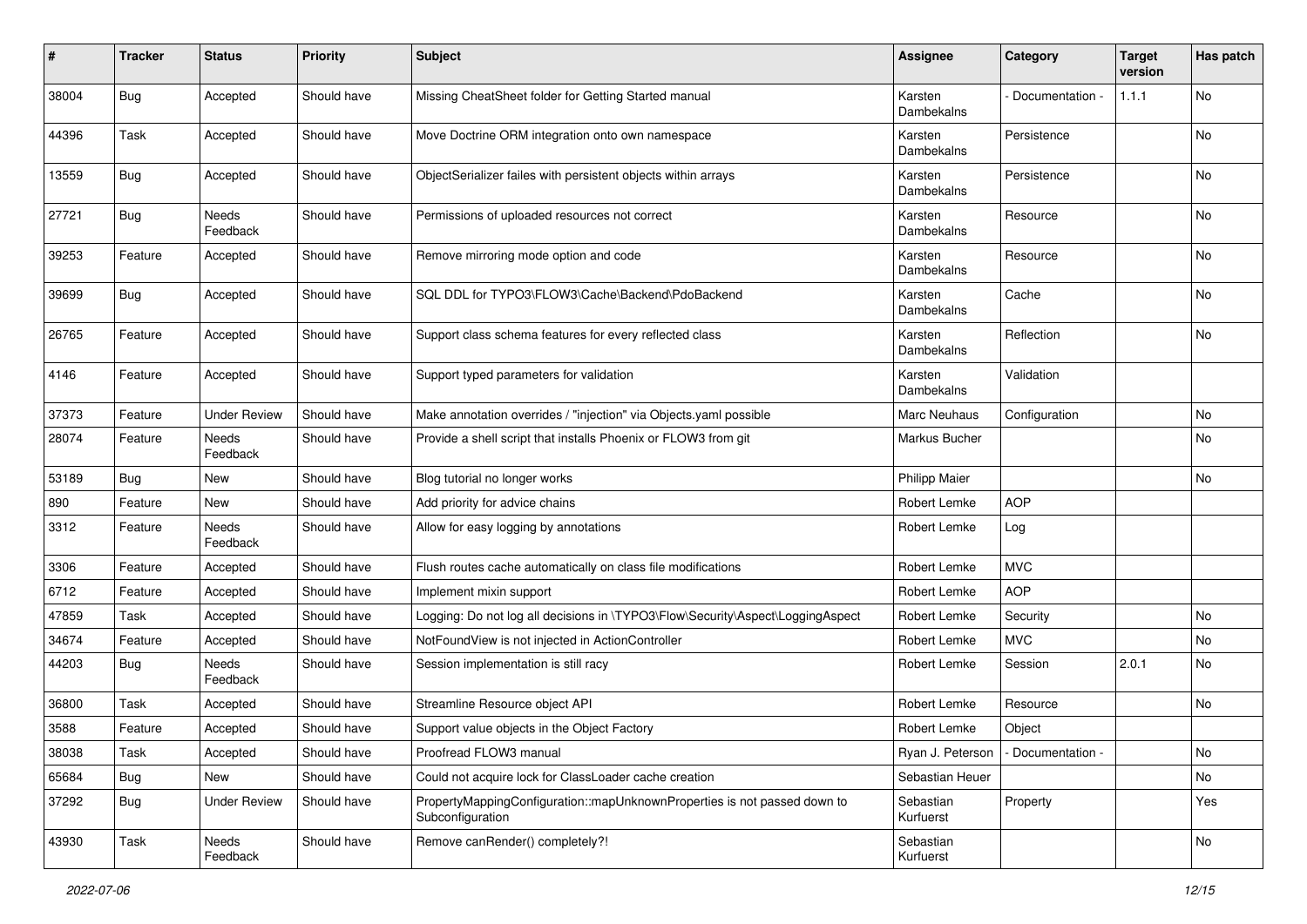| $\sharp$ | <b>Tracker</b> | <b>Status</b>       | <b>Priority</b> | <b>Subject</b>                                                                               | <b>Assignee</b>        | Category          | <b>Target</b><br>version | Has patch |
|----------|----------------|---------------------|-----------------|----------------------------------------------------------------------------------------------|------------------------|-------------------|--------------------------|-----------|
| 38004    | Bug            | Accepted            | Should have     | Missing CheatSheet folder for Getting Started manual                                         | Karsten<br>Dambekalns  | Documentation -   | 1.1.1                    | No        |
| 44396    | Task           | Accepted            | Should have     | Move Doctrine ORM integration onto own namespace                                             | Karsten<br>Dambekalns  | Persistence       |                          | No        |
| 13559    | <b>Bug</b>     | Accepted            | Should have     | ObjectSerializer failes with persistent objects within arrays                                | Karsten<br>Dambekalns  | Persistence       |                          | No        |
| 27721    | <b>Bug</b>     | Needs<br>Feedback   | Should have     | Permissions of uploaded resources not correct                                                | Karsten<br>Dambekalns  | Resource          |                          | No        |
| 39253    | Feature        | Accepted            | Should have     | Remove mirroring mode option and code                                                        | Karsten<br>Dambekalns  | Resource          |                          | No        |
| 39699    | Bug            | Accepted            | Should have     | SQL DDL for TYPO3\FLOW3\Cache\Backend\PdoBackend                                             | Karsten<br>Dambekalns  | Cache             |                          | No        |
| 26765    | Feature        | Accepted            | Should have     | Support class schema features for every reflected class                                      | Karsten<br>Dambekalns  | Reflection        |                          | No        |
| 4146     | Feature        | Accepted            | Should have     | Support typed parameters for validation                                                      | Karsten<br>Dambekalns  | Validation        |                          |           |
| 37373    | Feature        | <b>Under Review</b> | Should have     | Make annotation overrides / "injection" via Objects.yaml possible                            | Marc Neuhaus           | Configuration     |                          | No        |
| 28074    | Feature        | Needs<br>Feedback   | Should have     | Provide a shell script that installs Phoenix or FLOW3 from git                               | Markus Bucher          |                   |                          | No        |
| 53189    | <b>Bug</b>     | New                 | Should have     | Blog tutorial no longer works                                                                | Philipp Maier          |                   |                          | No        |
| 890      | Feature        | New                 | Should have     | Add priority for advice chains                                                               | Robert Lemke           | <b>AOP</b>        |                          |           |
| 3312     | Feature        | Needs<br>Feedback   | Should have     | Allow for easy logging by annotations                                                        | Robert Lemke           | Log               |                          |           |
| 3306     | Feature        | Accepted            | Should have     | Flush routes cache automatically on class file modifications                                 | Robert Lemke           | <b>MVC</b>        |                          |           |
| 6712     | Feature        | Accepted            | Should have     | Implement mixin support                                                                      | Robert Lemke           | <b>AOP</b>        |                          |           |
| 47859    | Task           | Accepted            | Should have     | Logging: Do not log all decisions in \TYPO3\Flow\Security\Aspect\LoggingAspect               | Robert Lemke           | Security          |                          | No        |
| 34674    | Feature        | Accepted            | Should have     | NotFoundView is not injected in ActionController                                             | Robert Lemke           | <b>MVC</b>        |                          | No        |
| 44203    | Bug            | Needs<br>Feedback   | Should have     | Session implementation is still racy                                                         | Robert Lemke           | Session           | 2.0.1                    | No        |
| 36800    | Task           | Accepted            | Should have     | Streamline Resource object API                                                               | Robert Lemke           | Resource          |                          | No        |
| 3588     | Feature        | Accepted            | Should have     | Support value objects in the Object Factory                                                  | Robert Lemke           | Object            |                          |           |
| 38038    | Task           | Accepted            | Should have     | Proofread FLOW3 manual                                                                       | Ryan J. Peterson       | - Documentation - |                          | No        |
| 65684    | Bug            | New                 | Should have     | Could not acquire lock for ClassLoader cache creation                                        | Sebastian Heuer        |                   |                          | No        |
| 37292    | <b>Bug</b>     | <b>Under Review</b> | Should have     | PropertyMappingConfiguration::mapUnknownProperties is not passed down to<br>Subconfiguration | Sebastian<br>Kurfuerst | Property          |                          | Yes       |
| 43930    | Task           | Needs<br>Feedback   | Should have     | Remove canRender() completely?!                                                              | Sebastian<br>Kurfuerst |                   |                          | No        |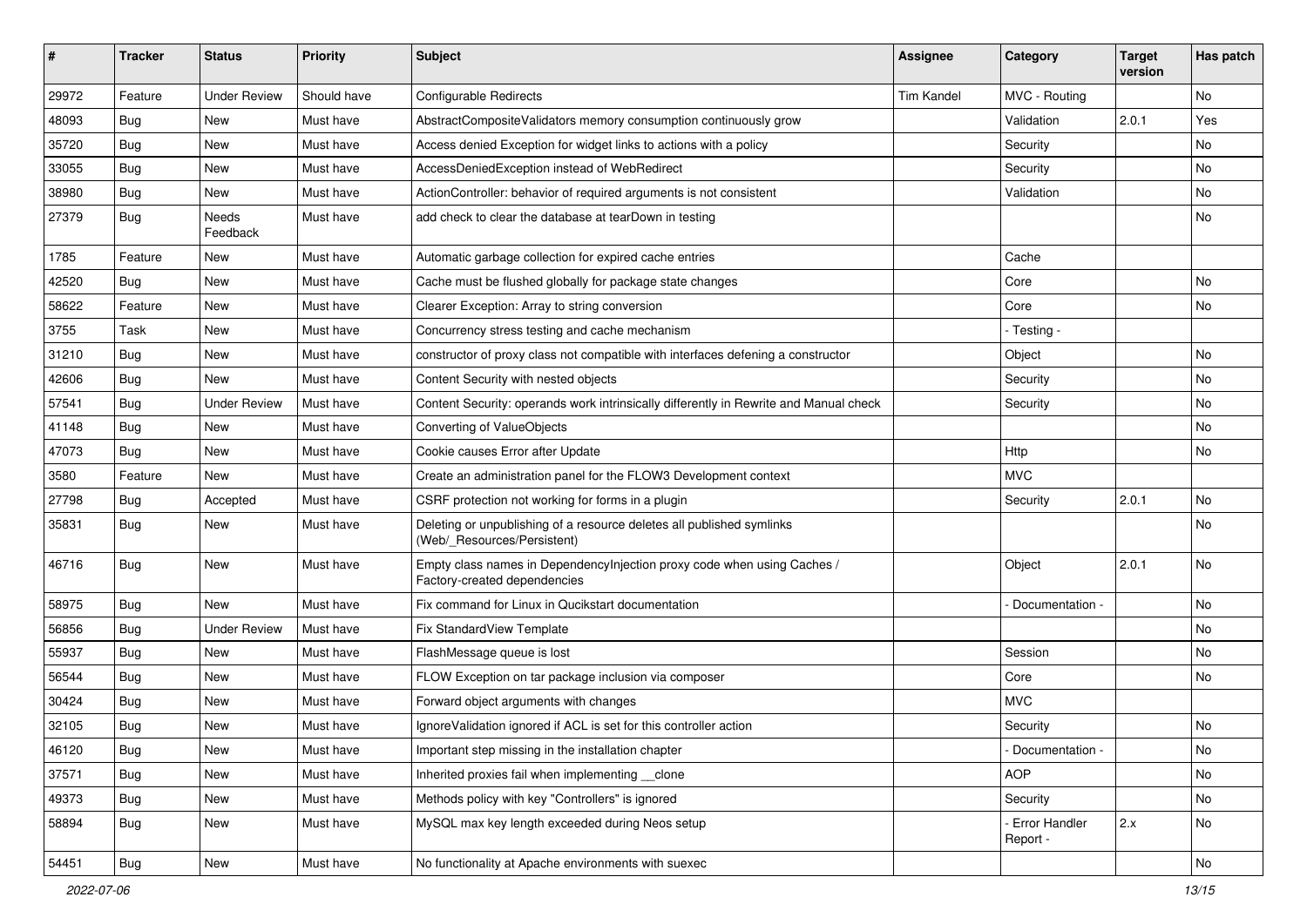| ∦     | <b>Tracker</b> | <b>Status</b>            | <b>Priority</b> | <b>Subject</b>                                                                                          | <b>Assignee</b>   | Category                    | <b>Target</b><br>version | Has patch     |
|-------|----------------|--------------------------|-----------------|---------------------------------------------------------------------------------------------------------|-------------------|-----------------------------|--------------------------|---------------|
| 29972 | Feature        | <b>Under Review</b>      | Should have     | <b>Configurable Redirects</b>                                                                           | <b>Tim Kandel</b> | MVC - Routing               |                          | <b>No</b>     |
| 48093 | <b>Bug</b>     | <b>New</b>               | Must have       | AbstractCompositeValidators memory consumption continuously grow                                        |                   | Validation                  | 2.0.1                    | Yes           |
| 35720 | Bug            | New                      | Must have       | Access denied Exception for widget links to actions with a policy                                       |                   | Security                    |                          | No            |
| 33055 | Bug            | <b>New</b>               | Must have       | AccessDeniedException instead of WebRedirect                                                            |                   | Security                    |                          | No            |
| 38980 | Bug            | New                      | Must have       | ActionController: behavior of required arguments is not consistent                                      |                   | Validation                  |                          | No            |
| 27379 | Bug            | <b>Needs</b><br>Feedback | Must have       | add check to clear the database at tearDown in testing                                                  |                   |                             |                          | <b>No</b>     |
| 1785  | Feature        | New                      | Must have       | Automatic garbage collection for expired cache entries                                                  |                   | Cache                       |                          |               |
| 42520 | Bug            | New                      | Must have       | Cache must be flushed globally for package state changes                                                |                   | Core                        |                          | No            |
| 58622 | Feature        | New                      | Must have       | Clearer Exception: Array to string conversion                                                           |                   | Core                        |                          | No            |
| 3755  | Task           | New                      | Must have       | Concurrency stress testing and cache mechanism                                                          |                   | - Testing -                 |                          |               |
| 31210 | Bug            | <b>New</b>               | Must have       | constructor of proxy class not compatible with interfaces defening a constructor                        |                   | Object                      |                          | No            |
| 42606 | Bug            | New                      | Must have       | Content Security with nested objects                                                                    |                   | Security                    |                          | No            |
| 57541 | Bug            | <b>Under Review</b>      | Must have       | Content Security: operands work intrinsically differently in Rewrite and Manual check                   |                   | Security                    |                          | <b>No</b>     |
| 41148 | <b>Bug</b>     | New                      | Must have       | Converting of ValueObjects                                                                              |                   |                             |                          | No            |
| 47073 | <b>Bug</b>     | New                      | Must have       | Cookie causes Error after Update                                                                        |                   | Http                        |                          | No            |
| 3580  | Feature        | <b>New</b>               | Must have       | Create an administration panel for the FLOW3 Development context                                        |                   | <b>MVC</b>                  |                          |               |
| 27798 | Bug            | Accepted                 | Must have       | CSRF protection not working for forms in a plugin                                                       |                   | Security                    | 2.0.1                    | No            |
| 35831 | <b>Bug</b>     | New                      | Must have       | Deleting or unpublishing of a resource deletes all published symlinks<br>(Web/_Resources/Persistent)    |                   |                             |                          | <b>No</b>     |
| 46716 | Bug            | New                      | Must have       | Empty class names in DependencyInjection proxy code when using Caches /<br>Factory-created dependencies |                   | Object                      | 2.0.1                    | No            |
| 58975 | <b>Bug</b>     | <b>New</b>               | Must have       | Fix command for Linux in Qucikstart documentation                                                       |                   | Documentation -             |                          | No            |
| 56856 | <b>Bug</b>     | <b>Under Review</b>      | Must have       | <b>Fix StandardView Template</b>                                                                        |                   |                             |                          | No            |
| 55937 | Bug            | <b>New</b>               | Must have       | FlashMessage queue is lost                                                                              |                   | Session                     |                          | No            |
| 56544 | Bug            | New                      | Must have       | FLOW Exception on tar package inclusion via composer                                                    |                   | Core                        |                          | No            |
| 30424 | Bug            | New                      | Must have       | Forward object arguments with changes                                                                   |                   | <b>MVC</b>                  |                          |               |
| 32105 | <b>Bug</b>     | New                      | Must have       | Ignore Validation ignored if ACL is set for this controller action                                      |                   | Security                    |                          | No            |
| 46120 | <b>Bug</b>     | New                      | Must have       | Important step missing in the installation chapter                                                      |                   | - Documentation -           |                          | No            |
| 37571 | <b>Bug</b>     | New                      | Must have       | Inherited proxies fail when implementing __clone                                                        |                   | <b>AOP</b>                  |                          | No            |
| 49373 | <b>Bug</b>     | New                      | Must have       | Methods policy with key "Controllers" is ignored                                                        |                   | Security                    |                          | No            |
| 58894 | Bug            | New                      | Must have       | MySQL max key length exceeded during Neos setup                                                         |                   | - Error Handler<br>Report - | 2.x                      | No            |
| 54451 | Bug            | New                      | Must have       | No functionality at Apache environments with suexec                                                     |                   |                             |                          | $\mathsf{No}$ |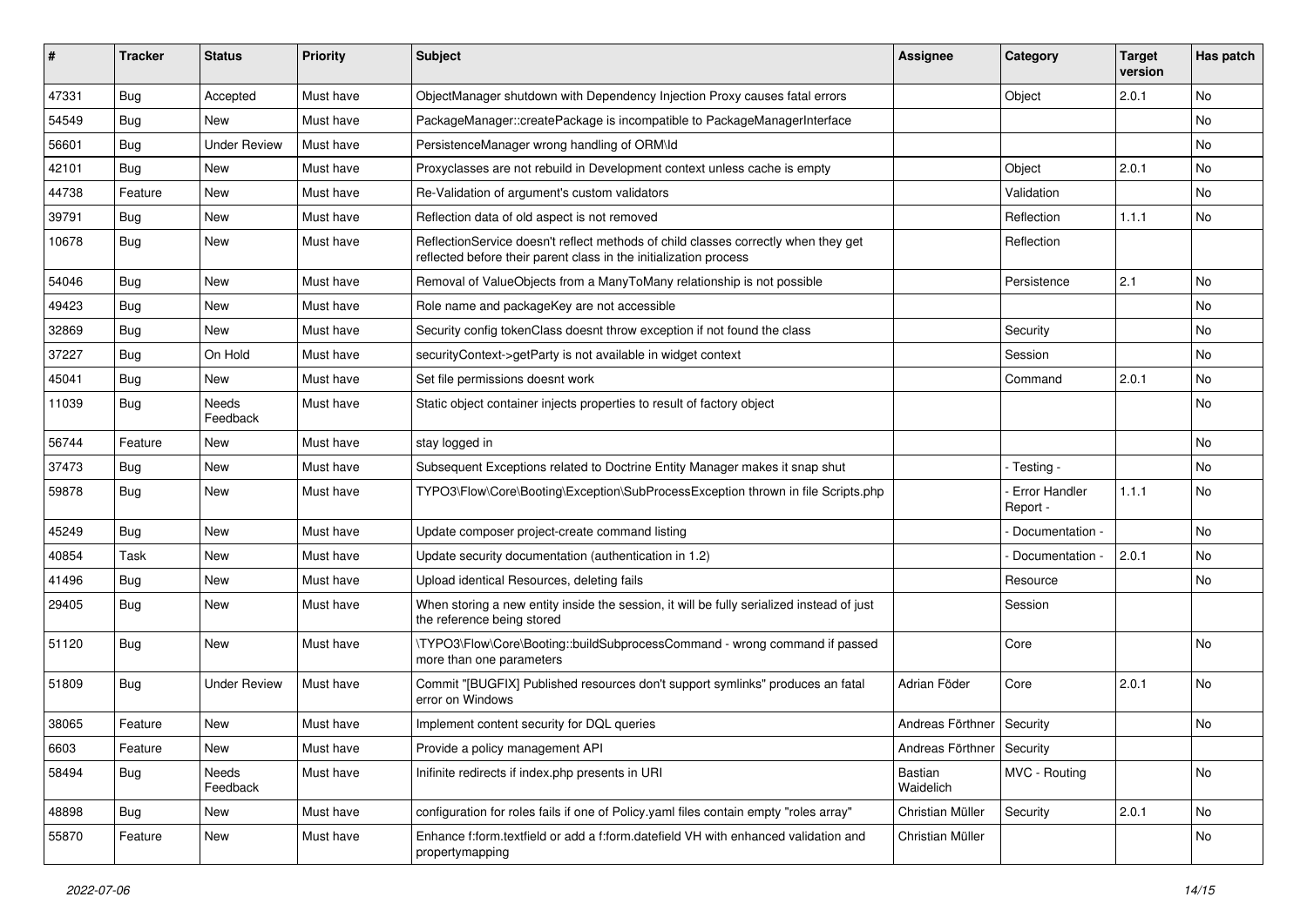| ∦     | <b>Tracker</b> | <b>Status</b>            | <b>Priority</b> | <b>Subject</b>                                                                                                                                          | <b>Assignee</b>             | Category                         | <b>Target</b><br>version | Has patch |
|-------|----------------|--------------------------|-----------------|---------------------------------------------------------------------------------------------------------------------------------------------------------|-----------------------------|----------------------------------|--------------------------|-----------|
| 47331 | Bug            | Accepted                 | Must have       | ObjectManager shutdown with Dependency Injection Proxy causes fatal errors                                                                              |                             | Object                           | 2.0.1                    | <b>No</b> |
| 54549 | <b>Bug</b>     | <b>New</b>               | Must have       | PackageManager::createPackage is incompatible to PackageManagerInterface                                                                                |                             |                                  |                          | No.       |
| 56601 | <b>Bug</b>     | <b>Under Review</b>      | Must have       | PersistenceManager wrong handling of ORM\ld                                                                                                             |                             |                                  |                          | No        |
| 42101 | <b>Bug</b>     | <b>New</b>               | Must have       | Proxyclasses are not rebuild in Development context unless cache is empty                                                                               |                             | Object                           | 2.0.1                    | <b>No</b> |
| 44738 | Feature        | New                      | Must have       | Re-Validation of argument's custom validators                                                                                                           |                             | Validation                       |                          | No.       |
| 39791 | Bug            | <b>New</b>               | Must have       | Reflection data of old aspect is not removed                                                                                                            |                             | Reflection                       | 1.1.1                    | <b>No</b> |
| 10678 | <b>Bug</b>     | New                      | Must have       | ReflectionService doesn't reflect methods of child classes correctly when they get<br>reflected before their parent class in the initialization process |                             | Reflection                       |                          |           |
| 54046 | Bug            | New                      | Must have       | Removal of ValueObjects from a ManyToMany relationship is not possible                                                                                  |                             | Persistence                      | 2.1                      | No        |
| 49423 | Bug            | New                      | Must have       | Role name and packageKey are not accessible                                                                                                             |                             |                                  |                          | No        |
| 32869 | <b>Bug</b>     | New                      | Must have       | Security config tokenClass doesnt throw exception if not found the class                                                                                |                             | Security                         |                          | No        |
| 37227 | Bug            | On Hold                  | Must have       | securityContext->getParty is not available in widget context                                                                                            |                             | Session                          |                          | No        |
| 45041 | Bug            | New                      | Must have       | Set file permissions doesnt work                                                                                                                        |                             | Command                          | 2.0.1                    | No        |
| 11039 | <b>Bug</b>     | <b>Needs</b><br>Feedback | Must have       | Static object container injects properties to result of factory object                                                                                  |                             |                                  |                          | <b>No</b> |
| 56744 | Feature        | New                      | Must have       | stay logged in                                                                                                                                          |                             |                                  |                          | <b>No</b> |
| 37473 | Bug            | New                      | Must have       | Subsequent Exceptions related to Doctrine Entity Manager makes it snap shut                                                                             |                             | - Testing -                      |                          | No        |
| 59878 | <b>Bug</b>     | New                      | Must have       | TYPO3\Flow\Core\Booting\Exception\SubProcessException thrown in file Scripts.php                                                                        |                             | <b>Error Handler</b><br>Report - | 1.1.1                    | <b>No</b> |
| 45249 | <b>Bug</b>     | <b>New</b>               | Must have       | Update composer project-create command listing                                                                                                          |                             | Documentation -                  |                          | <b>No</b> |
| 40854 | Task           | New                      | Must have       | Update security documentation (authentication in 1.2)                                                                                                   |                             | Documentation -                  | 2.0.1                    | <b>No</b> |
| 41496 | Bug            | <b>New</b>               | Must have       | Upload identical Resources, deleting fails                                                                                                              |                             | Resource                         |                          | <b>No</b> |
| 29405 | <b>Bug</b>     | New                      | Must have       | When storing a new entity inside the session, it will be fully serialized instead of just<br>the reference being stored                                 |                             | Session                          |                          |           |
| 51120 | Bug            | New                      | Must have       | \TYPO3\Flow\Core\Booting::buildSubprocessCommand - wrong command if passed<br>more than one parameters                                                  |                             | Core                             |                          | <b>No</b> |
| 51809 | <b>Bug</b>     | <b>Under Review</b>      | Must have       | Commit "[BUGFIX] Published resources don't support symlinks" produces an fatal<br>error on Windows                                                      | Adrian Föder                | Core                             | 2.0.1                    | <b>No</b> |
| 38065 | Feature        | New                      | Must have       | Implement content security for DQL queries                                                                                                              | Andreas Förthner   Security |                                  |                          | No        |
| 6603  | Feature        | New                      | Must have       | Provide a policy management API                                                                                                                         | Andreas Förthner Security   |                                  |                          |           |
| 58494 | Bug            | Needs<br>Feedback        | Must have       | Inifinite redirects if index.php presents in URI                                                                                                        | Bastian<br>Waidelich        | MVC - Routing                    |                          | No        |
| 48898 | <b>Bug</b>     | New                      | Must have       | configuration for roles fails if one of Policy.yaml files contain empty "roles array"                                                                   | Christian Müller            | Security                         | 2.0.1                    | No        |
| 55870 | Feature        | New                      | Must have       | Enhance f:form.textfield or add a f:form.datefield VH with enhanced validation and<br>propertymapping                                                   | Christian Müller            |                                  |                          | No        |